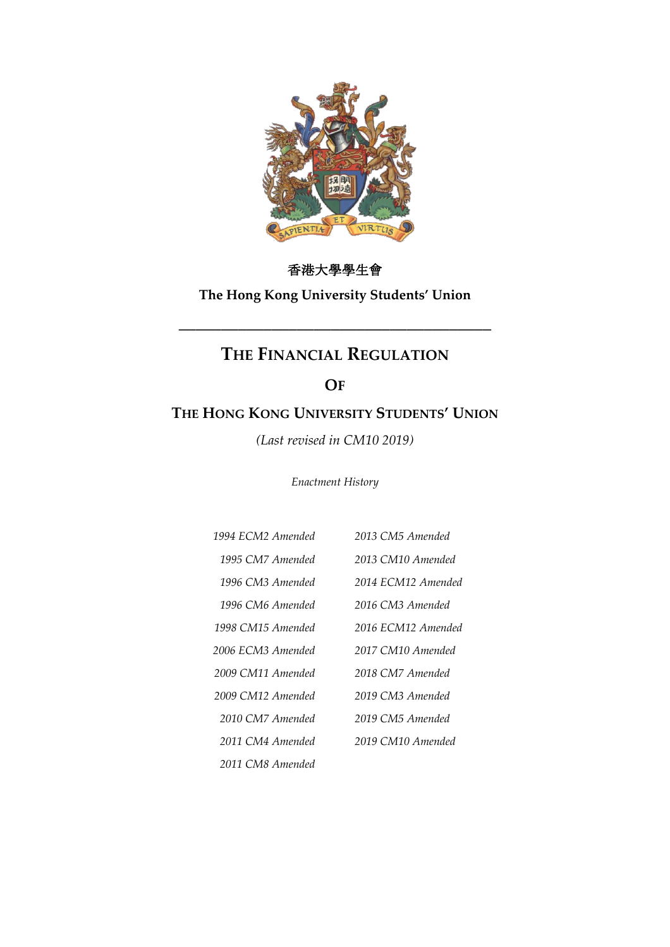

# 香港大學學生會

**The Hong Kong University Students' Union**

# **THE FINANCIAL REGULATION**

**\_\_\_\_\_\_\_\_\_\_\_\_\_\_\_\_\_\_\_\_\_\_\_\_\_\_\_\_\_\_\_\_\_\_\_\_\_**

## **OF**

# **THE HONG KONG UNIVERSITY STUDENTS' UNION**

*(Last revised in CM10 2019)*

*Enactment History*

| 1994 FCM2 Amended | 2013 CM5 Amended   |
|-------------------|--------------------|
| 1995 CM7 Amended  | 2013 CM10 Amended  |
| 1996 CM3 Amended  | 2014 ECM12 Amended |
| 1996 CM6 Amended  | 2016 CM3 Amended   |
| 1998 CM15 Amended | 2016 ECM12 Amended |
| 2006 ECM3 Amended | 2017 CM10 Amended  |
| 2009 CM11 Amended | 2018 CM7 Amended   |
| 2009 CM12 Amended | 2019 CM3 Amended   |
| 2010 CM7 Amended  | 2019 CM5 Amended   |
| 2011 CM4 Amended  | 2019 CM10 Amended  |
| 2011 CM8 Amended  |                    |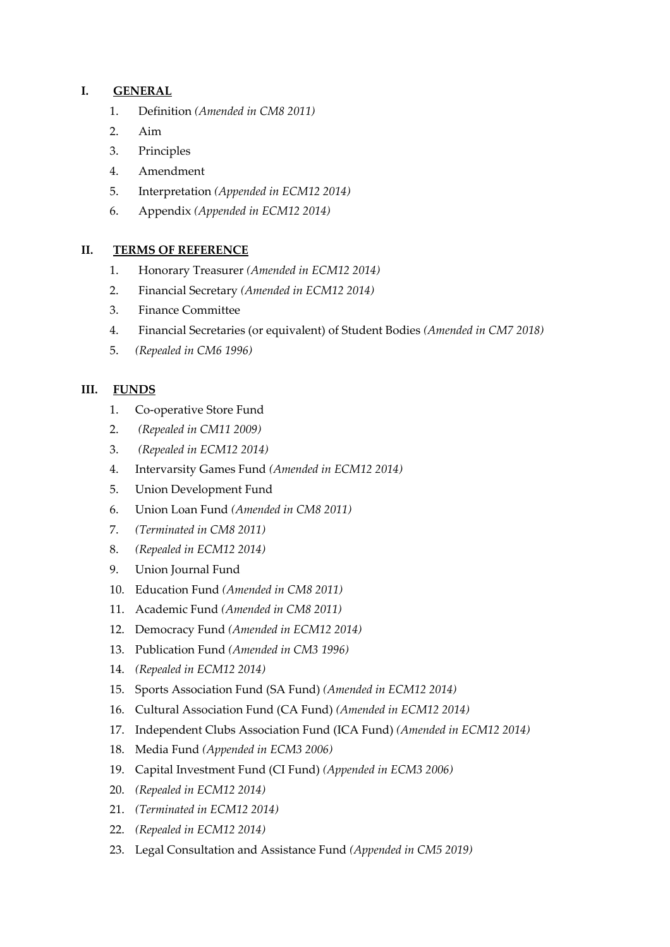## **I. GENERAL**

- 1. Definition *(Amended in CM8 2011)*
- 2. Aim
- 3. Principles
- 4. Amendment
- 5. Interpretation *(Appended in ECM12 2014)*
- 6. Appendix *(Appended in ECM12 2014)*

### **II. TERMS OF REFERENCE**

- 1. Honorary Treasurer *(Amended in ECM12 2014)*
- 2. Financial Secretary *(Amended in ECM12 2014)*
- 3. Finance Committee
- 4. Financial Secretaries (or equivalent) of Student Bodies *(Amended in CM7 2018)*
- 5. *(Repealed in CM6 1996)*

## **III. FUNDS**

- 1. Co-operative Store Fund
- 2. *(Repealed in CM11 2009)*
- 3. *(Repealed in ECM12 2014)*
- 4. Intervarsity Games Fund *(Amended in ECM12 2014)*
- 5. Union Development Fund
- 6. Union Loan Fund *(Amended in CM8 2011)*
- 7. *(Terminated in CM8 2011)*
- 8. *(Repealed in ECM12 2014)*
- 9. Union Journal Fund
- 10. Education Fund *(Amended in CM8 2011)*
- 11. Academic Fund *(Amended in CM8 2011)*
- 12. Democracy Fund *(Amended in ECM12 2014)*
- 13. Publication Fund *(Amended in CM3 1996)*
- 14. *(Repealed in ECM12 2014)*
- 15. Sports Association Fund (SA Fund) *(Amended in ECM12 2014)*
- 16. Cultural Association Fund (CA Fund) *(Amended in ECM12 2014)*
- 17. Independent Clubs Association Fund (ICA Fund) *(Amended in ECM12 2014)*
- 18. Media Fund *(Appended in ECM3 2006)*
- 19. Capital Investment Fund (CI Fund) *(Appended in ECM3 2006)*
- 20. *(Repealed in ECM12 2014)*
- 21. *(Terminated in ECM12 2014)*
- 22. *(Repealed in ECM12 2014)*
- 23. Legal Consultation and Assistance Fund *(Appended in CM5 2019)*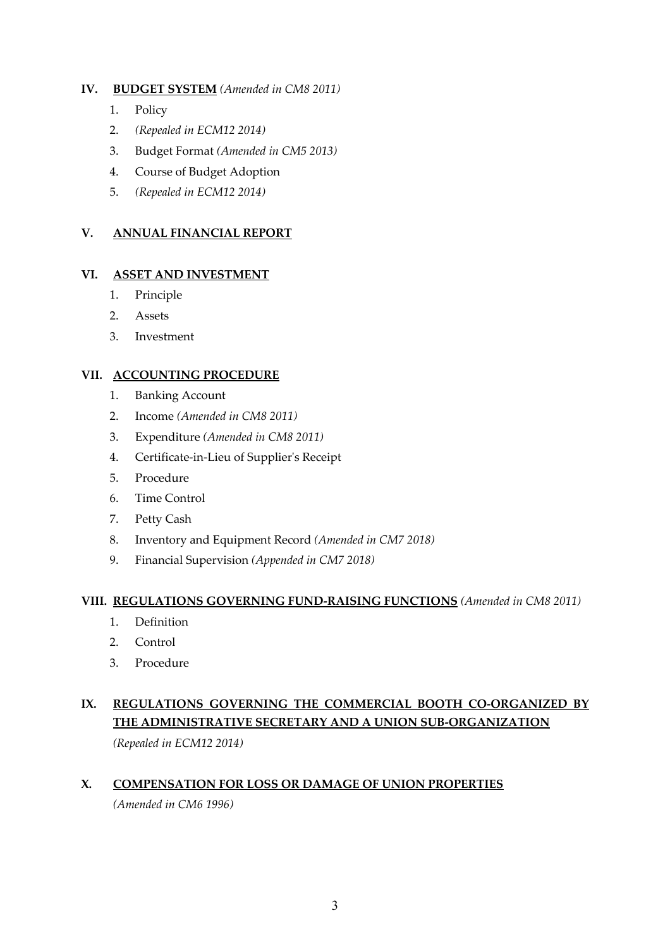## **IV. BUDGET SYSTEM** *(Amended in CM8 2011)*

- 1. Policy
- 2. *(Repealed in ECM12 2014)*
- 3. Budget Format *(Amended in CM5 2013)*
- 4. Course of Budget Adoption
- 5. *(Repealed in ECM12 2014)*

## **V. ANNUAL FINANCIAL REPORT**

### **VI. ASSET AND INVESTMENT**

- 1. Principle
- 2. Assets
- 3. Investment

### **VII. ACCOUNTING PROCEDURE**

- 1. Banking Account
- 2. Income *(Amended in CM8 2011)*
- 3. Expenditure *(Amended in CM8 2011)*
- 4. Certificate-in-Lieu of Supplier's Receipt
- 5. Procedure
- 6. Time Control
- 7. Petty Cash
- 8. Inventory and Equipment Record *(Amended in CM7 2018)*
- 9. Financial Supervision *(Appended in CM7 2018)*

### **VIII. REGULATIONS GOVERNING FUND-RAISING FUNCTIONS** *(Amended in CM8 2011)*

- 1. Definition
- 2. Control
- 3. Procedure

# **IX. REGULATIONS GOVERNING THE COMMERCIAL BOOTH CO-ORGANIZED BY THE ADMINISTRATIVE SECRETARY AND A UNION SUB-ORGANIZATION**

*(Repealed in ECM12 2014)*

## **X. COMPENSATION FOR LOSS OR DAMAGE OF UNION PROPERTIES**

*(Amended in CM6 1996)*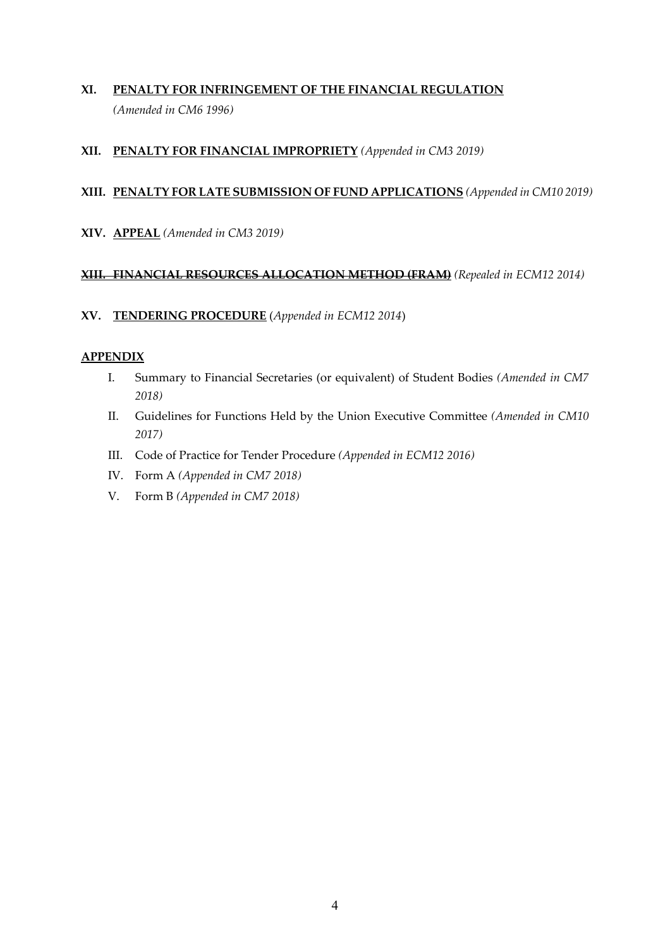## **XI. PENALTY FOR INFRINGEMENT OF THE FINANCIAL REGULATION** *(Amended in CM6 1996)*

## **XII. PENALTY FOR FINANCIAL IMPROPRIETY** *(Appended in CM3 2019)*

## **XIII. PENALTY FOR LATE SUBMISSION OF FUND APPLICATIONS** *(Appended in CM10 2019)*

**XIV. APPEAL** *(Amended in CM3 2019)*

### **XIII. FINANCIAL RESOURCES ALLOCATION METHOD (FRAM)** *(Repealed in ECM12 2014)*

### **XV. TENDERING PROCEDURE** (*Appended in ECM12 2014*)

### **APPENDIX**

- I. Summary to Financial Secretaries (or equivalent) of Student Bodies *(Amended in CM7 2018)*
- II. Guidelines for Functions Held by the Union Executive Committee *(Amended in CM10 2017)*
- III. Code of Practice for Tender Procedure *(Appended in ECM12 2016)*
- IV. Form A *(Appended in CM7 2018)*
- V. Form B *(Appended in CM7 2018)*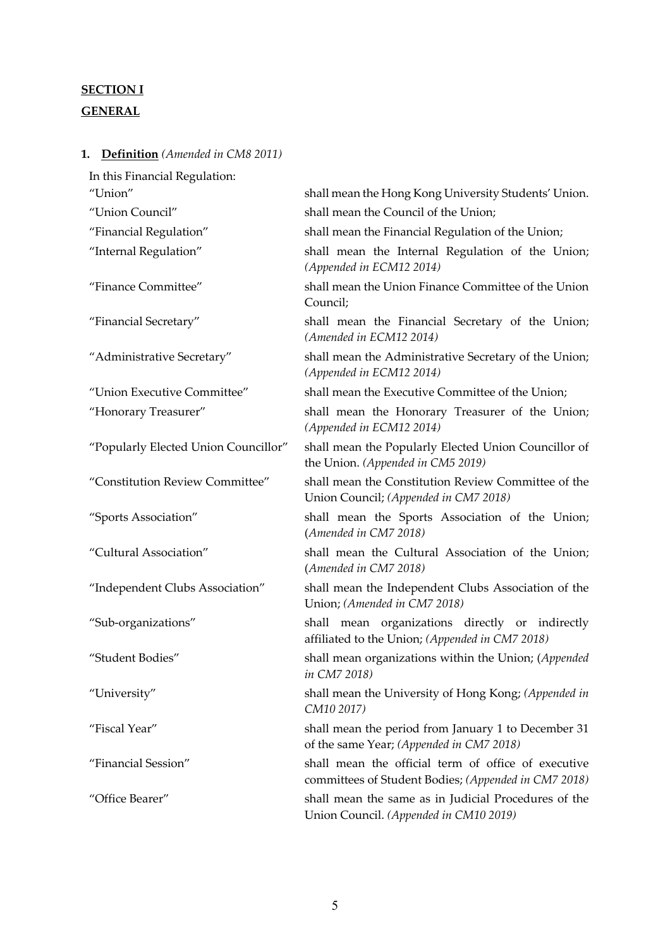# **SECTION I GENERAL**

**1. Definition** *(Amended in CM8 2011)*

| In this Financial Regulation:        |                                                                                                             |
|--------------------------------------|-------------------------------------------------------------------------------------------------------------|
| "Union"                              | shall mean the Hong Kong University Students' Union.                                                        |
| "Union Council"                      | shall mean the Council of the Union;                                                                        |
| "Financial Regulation"               | shall mean the Financial Regulation of the Union;                                                           |
| "Internal Regulation"                | shall mean the Internal Regulation of the Union;<br>(Appended in ECM12 2014)                                |
| "Finance Committee"                  | shall mean the Union Finance Committee of the Union<br>Council;                                             |
| "Financial Secretary"                | shall mean the Financial Secretary of the Union;<br>(Amended in ECM12 2014)                                 |
| "Administrative Secretary"           | shall mean the Administrative Secretary of the Union;<br>(Appended in ECM12 2014)                           |
| "Union Executive Committee"          | shall mean the Executive Committee of the Union;                                                            |
| "Honorary Treasurer"                 | shall mean the Honorary Treasurer of the Union;<br>(Appended in ECM12 2014)                                 |
| "Popularly Elected Union Councillor" | shall mean the Popularly Elected Union Councillor of<br>the Union. (Appended in CM5 2019)                   |
| "Constitution Review Committee"      | shall mean the Constitution Review Committee of the<br>Union Council; (Appended in CM7 2018)                |
| "Sports Association"                 | shall mean the Sports Association of the Union;<br>(Amended in CM7 2018)                                    |
| "Cultural Association"               | shall mean the Cultural Association of the Union;<br>(Amended in CM7 2018)                                  |
| "Independent Clubs Association"      | shall mean the Independent Clubs Association of the<br>Union; (Amended in CM7 2018)                         |
| "Sub-organizations"                  | shall mean organizations directly or indirectly<br>affiliated to the Union; (Appended in CM7 2018)          |
| "Student Bodies"                     | shall mean organizations within the Union; (Appended<br>in CM7 2018)                                        |
| "University"                         | shall mean the University of Hong Kong; (Appended in<br>CM10 2017)                                          |
| "Fiscal Year"                        | shall mean the period from January 1 to December 31<br>of the same Year; (Appended in CM7 2018)             |
| "Financial Session"                  | shall mean the official term of office of executive<br>committees of Student Bodies; (Appended in CM7 2018) |
| "Office Bearer"                      | shall mean the same as in Judicial Procedures of the<br>Union Council. (Appended in CM10 2019)              |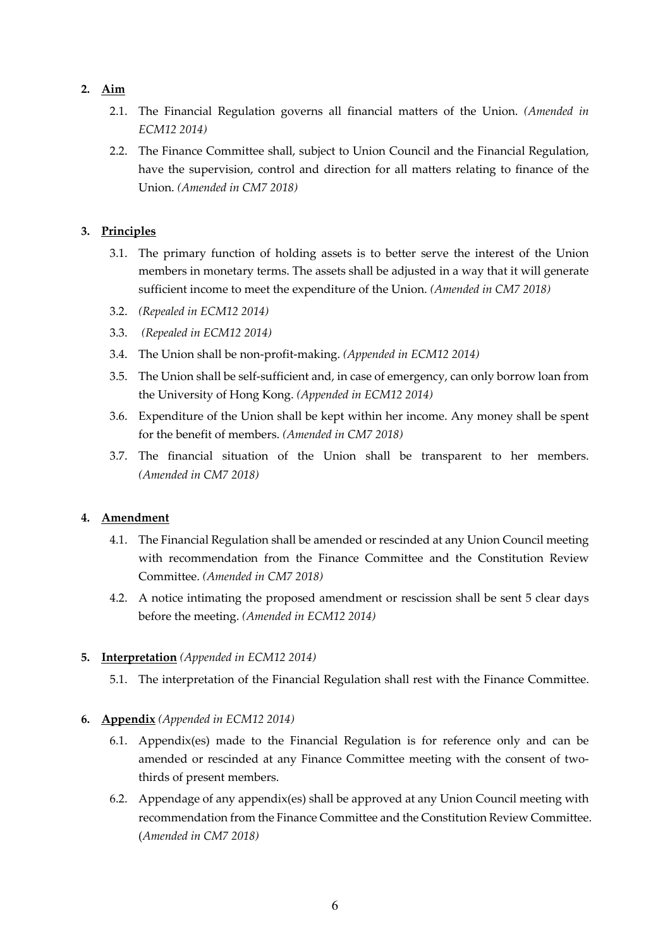## **2. Aim**

- 2.1. The Financial Regulation governs all financial matters of the Union. *(Amended in ECM12 2014)*
- 2.2. The Finance Committee shall, subject to Union Council and the Financial Regulation, have the supervision, control and direction for all matters relating to finance of the Union. *(Amended in CM7 2018)*

## **3. Principles**

- 3.1. The primary function of holding assets is to better serve the interest of the Union members in monetary terms. The assets shall be adjusted in a way that it will generate sufficient income to meet the expenditure of the Union. *(Amended in CM7 2018)*
- 3.2. *(Repealed in ECM12 2014)*
- 3.3. *(Repealed in ECM12 2014)*
- 3.4. The Union shall be non-profit-making. *(Appended in ECM12 2014)*
- 3.5. The Union shall be self-sufficient and, in case of emergency, can only borrow loan from the University of Hong Kong. *(Appended in ECM12 2014)*
- 3.6. Expenditure of the Union shall be kept within her income. Any money shall be spent for the benefit of members. *(Amended in CM7 2018)*
- 3.7. The financial situation of the Union shall be transparent to her members. *(Amended in CM7 2018)*

### **4. Amendment**

- 4.1. The Financial Regulation shall be amended or rescinded at any Union Council meeting with recommendation from the Finance Committee and the Constitution Review Committee. *(Amended in CM7 2018)*
- 4.2. A notice intimating the proposed amendment or rescission shall be sent 5 clear days before the meeting. *(Amended in ECM12 2014)*

### **5. Interpretation** *(Appended in ECM12 2014)*

5.1. The interpretation of the Financial Regulation shall rest with the Finance Committee.

### **6. Appendix** *(Appended in ECM12 2014)*

- 6.1. Appendix(es) made to the Financial Regulation is for reference only and can be amended or rescinded at any Finance Committee meeting with the consent of twothirds of present members.
- 6.2. Appendage of any appendix(es) shall be approved at any Union Council meeting with recommendation from the Finance Committee and the Constitution Review Committee. (*Amended in CM7 2018)*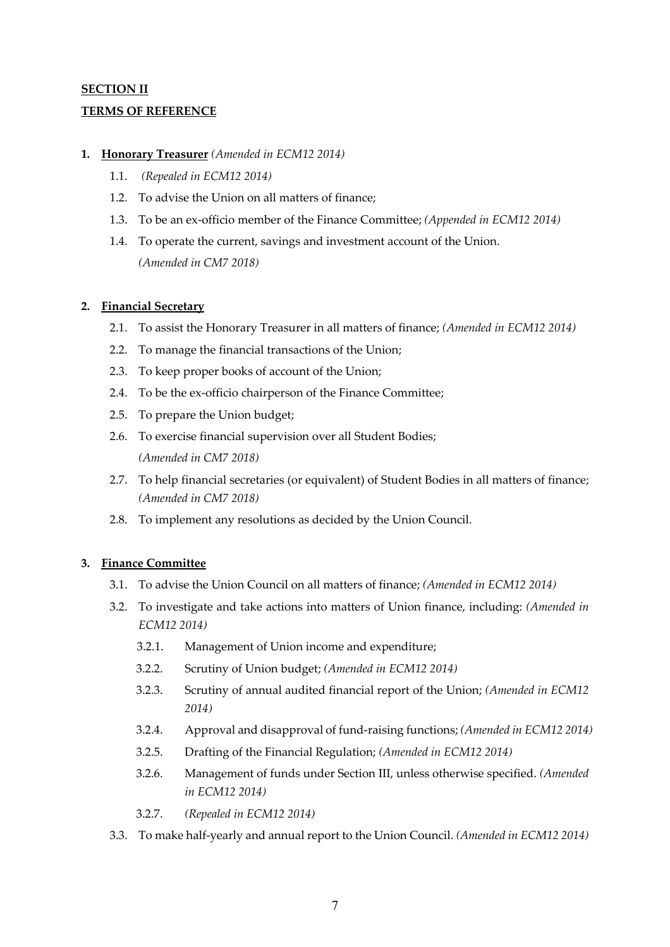## **SECTION II TERMS OF REFERENCE**

### **1. Honorary Treasurer** *(Amended in ECM12 2014)*

- 1.1. *(Repealed in ECM12 2014)*
- 1.2. To advise the Union on all matters of finance;
- 1.3. To be an ex-officio member of the Finance Committee; *(Appended in ECM12 2014)*
- 1.4. To operate the current, savings and investment account of the Union. *(Amended in CM7 2018)*

### **2. Financial Secretary**

- 2.1. To assist the Honorary Treasurer in all matters of finance; *(Amended in ECM12 2014)*
- 2.2. To manage the financial transactions of the Union;
- 2.3. To keep proper books of account of the Union;
- 2.4. To be the ex-officio chairperson of the Finance Committee;
- 2.5. To prepare the Union budget;
- 2.6. To exercise financial supervision over all Student Bodies; *(Amended in CM7 2018)*
- 2.7. To help financial secretaries (or equivalent) of Student Bodies in all matters of finance; *(Amended in CM7 2018)*
- 2.8. To implement any resolutions as decided by the Union Council.

### **3. Finance Committee**

- 3.1. To advise the Union Council on all matters of finance; *(Amended in ECM12 2014)*
- 3.2. To investigate and take actions into matters of Union finance, including: *(Amended in ECM12 2014)*
	- 3.2.1. Management of Union income and expenditure;
	- 3.2.2. Scrutiny of Union budget; *(Amended in ECM12 2014)*
	- 3.2.3. Scrutiny of annual audited financial report of the Union; *(Amended in ECM12 2014)*
	- 3.2.4. Approval and disapproval of fund-raising functions; *(Amended in ECM12 2014)*
	- 3.2.5. Drafting of the Financial Regulation; *(Amended in ECM12 2014)*
	- 3.2.6. Management of funds under Section III, unless otherwise specified. *(Amended in ECM12 2014)*
	- 3.2.7. *(Repealed in ECM12 2014)*
- 3.3. To make half-yearly and annual report to the Union Council. *(Amended in ECM12 2014)*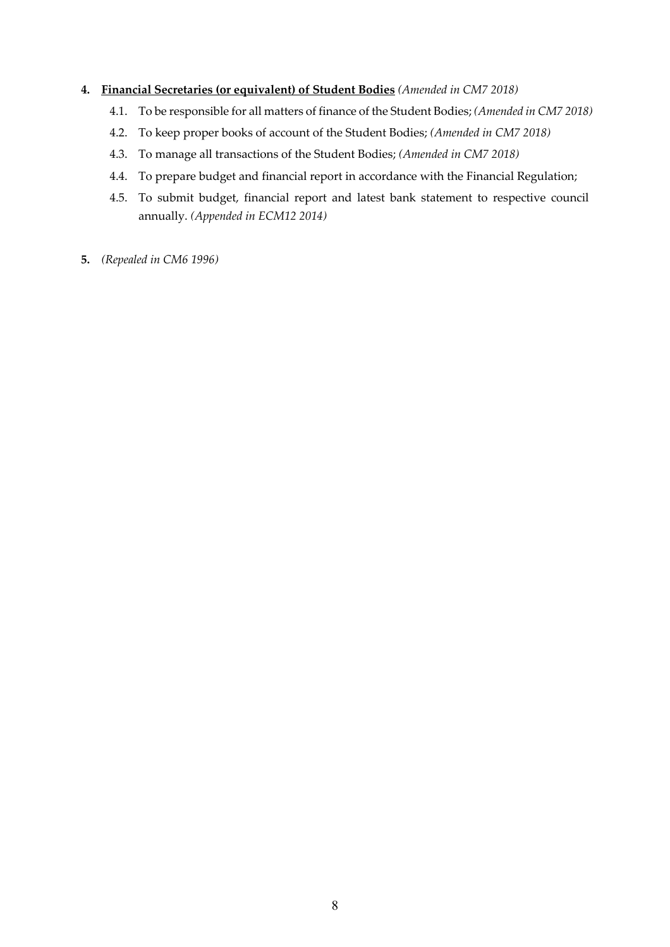## **4. Financial Secretaries (or equivalent) of Student Bodies** *(Amended in CM7 2018)*

- 4.1. To be responsible for all matters of finance of the Student Bodies; *(Amended in CM7 2018)*
- 4.2. To keep proper books of account of the Student Bodies; *(Amended in CM7 2018)*
- 4.3. To manage all transactions of the Student Bodies; *(Amended in CM7 2018)*
- 4.4. To prepare budget and financial report in accordance with the Financial Regulation;
- 4.5. To submit budget, financial report and latest bank statement to respective council annually. *(Appended in ECM12 2014)*
- **5.** *(Repealed in CM6 1996)*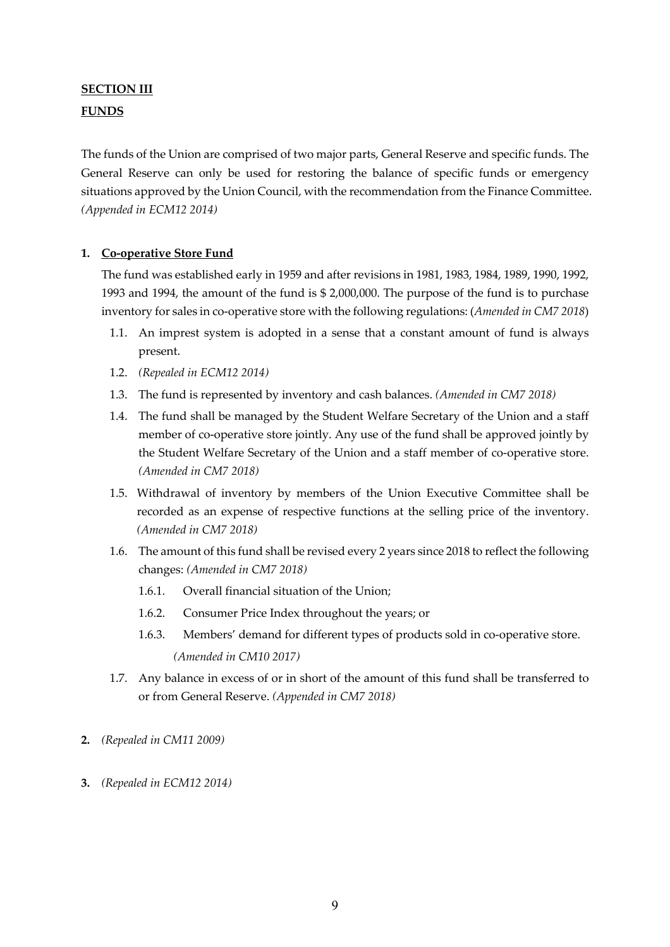## **SECTION III FUNDS**

The funds of the Union are comprised of two major parts, General Reserve and specific funds. The General Reserve can only be used for restoring the balance of specific funds or emergency situations approved by the Union Council, with the recommendation from the Finance Committee. *(Appended in ECM12 2014)*

### **1. Co-operative Store Fund**

The fund was established early in 1959 and after revisions in 1981, 1983, 1984, 1989, 1990, 1992, 1993 and 1994, the amount of the fund is \$ 2,000,000. The purpose of the fund is to purchase inventory for sales in co-operative store with the following regulations: (*Amended in CM7 2018*)

- 1.1. An imprest system is adopted in a sense that a constant amount of fund is always present.
- 1.2. *(Repealed in ECM12 2014)*
- 1.3. The fund is represented by inventory and cash balances. *(Amended in CM7 2018)*
- 1.4. The fund shall be managed by the Student Welfare Secretary of the Union and a staff member of co-operative store jointly. Any use of the fund shall be approved jointly by the Student Welfare Secretary of the Union and a staff member of co-operative store. *(Amended in CM7 2018)*
- 1.5. Withdrawal of inventory by members of the Union Executive Committee shall be recorded as an expense of respective functions at the selling price of the inventory. *(Amended in CM7 2018)*
- 1.6. The amount of this fund shall be revised every 2 years since 2018 to reflect the following changes: *(Amended in CM7 2018)*
	- 1.6.1. Overall financial situation of the Union;
	- 1.6.2. Consumer Price Index throughout the years; or
	- 1.6.3. Members' demand for different types of products sold in co-operative store. *(Amended in CM10 2017)*
- 1.7. Any balance in excess of or in short of the amount of this fund shall be transferred to or from General Reserve. *(Appended in CM7 2018)*
- **2.** *(Repealed in CM11 2009)*
- **3.** *(Repealed in ECM12 2014)*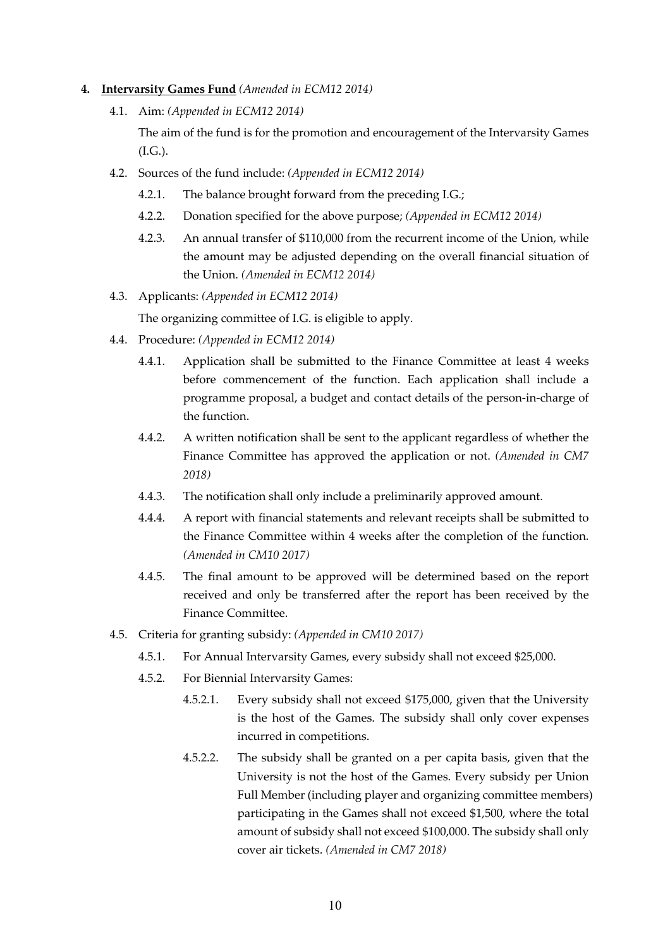#### **4. Intervarsity Games Fund** *(Amended in ECM12 2014)*

4.1. Aim: *(Appended in ECM12 2014)*

The aim of the fund is for the promotion and encouragement of the Intervarsity Games (I.G.).

- 4.2. Sources of the fund include: *(Appended in ECM12 2014)*
	- 4.2.1. The balance brought forward from the preceding I.G.;
	- 4.2.2. Donation specified for the above purpose; *(Appended in ECM12 2014)*
	- 4.2.3. An annual transfer of \$110,000 from the recurrent income of the Union, while the amount may be adjusted depending on the overall financial situation of the Union. *(Amended in ECM12 2014)*
- 4.3. Applicants: *(Appended in ECM12 2014)*

The organizing committee of I.G. is eligible to apply.

- 4.4. Procedure: *(Appended in ECM12 2014)*
	- 4.4.1. Application shall be submitted to the Finance Committee at least 4 weeks before commencement of the function. Each application shall include a programme proposal, a budget and contact details of the person-in-charge of the function.
	- 4.4.2. A written notification shall be sent to the applicant regardless of whether the Finance Committee has approved the application or not. *(Amended in CM7 2018)*
	- 4.4.3. The notification shall only include a preliminarily approved amount.
	- 4.4.4. A report with financial statements and relevant receipts shall be submitted to the Finance Committee within 4 weeks after the completion of the function. *(Amended in CM10 2017)*
	- 4.4.5. The final amount to be approved will be determined based on the report received and only be transferred after the report has been received by the Finance Committee.
- 4.5. Criteria for granting subsidy: *(Appended in CM10 2017)*
	- 4.5.1. For Annual Intervarsity Games, every subsidy shall not exceed \$25,000.
	- 4.5.2. For Biennial Intervarsity Games:
		- 4.5.2.1. Every subsidy shall not exceed \$175,000, given that the University is the host of the Games. The subsidy shall only cover expenses incurred in competitions.
		- 4.5.2.2. The subsidy shall be granted on a per capita basis, given that the University is not the host of the Games. Every subsidy per Union Full Member (including player and organizing committee members) participating in the Games shall not exceed \$1,500, where the total amount of subsidy shall not exceed \$100,000. The subsidy shall only cover air tickets. *(Amended in CM7 2018)*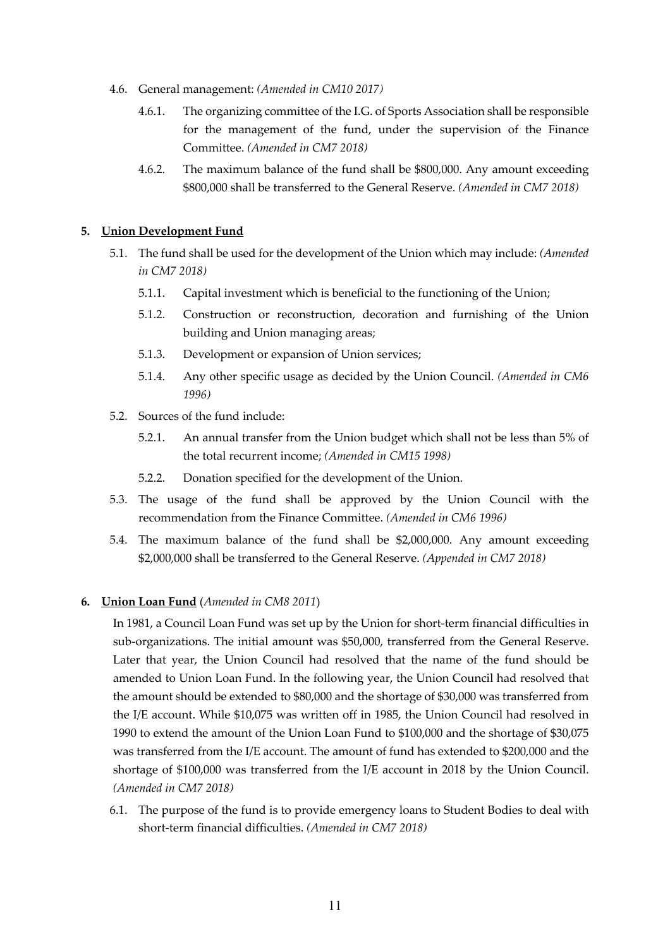- 4.6. General management: *(Amended in CM10 2017)*
	- 4.6.1. The organizing committee of the I.G. of Sports Association shall be responsible for the management of the fund, under the supervision of the Finance Committee. *(Amended in CM7 2018)*
	- 4.6.2. The maximum balance of the fund shall be \$800,000. Any amount exceeding \$800,000 shall be transferred to the General Reserve. *(Amended in CM7 2018)*

### **5. Union Development Fund**

- 5.1. The fund shall be used for the development of the Union which may include: *(Amended in CM7 2018)*
	- 5.1.1. Capital investment which is beneficial to the functioning of the Union;
	- 5.1.2. Construction or reconstruction, decoration and furnishing of the Union building and Union managing areas;
	- 5.1.3. Development or expansion of Union services;
	- 5.1.4. Any other specific usage as decided by the Union Council. *(Amended in CM6 1996)*
- 5.2. Sources of the fund include:
	- 5.2.1. An annual transfer from the Union budget which shall not be less than 5% of the total recurrent income; *(Amended in CM15 1998)*
	- 5.2.2. Donation specified for the development of the Union.
- 5.3. The usage of the fund shall be approved by the Union Council with the recommendation from the Finance Committee. *(Amended in CM6 1996)*
- 5.4. The maximum balance of the fund shall be \$2,000,000. Any amount exceeding \$2,000,000 shall be transferred to the General Reserve. *(Appended in CM7 2018)*

### **6. Union Loan Fund** (*Amended in CM8 2011*)

In 1981, a Council Loan Fund was set up by the Union for short-term financial difficulties in sub-organizations. The initial amount was \$50,000, transferred from the General Reserve. Later that year, the Union Council had resolved that the name of the fund should be amended to Union Loan Fund. In the following year, the Union Council had resolved that the amount should be extended to \$80,000 and the shortage of \$30,000 was transferred from the I/E account. While \$10,075 was written off in 1985, the Union Council had resolved in 1990 to extend the amount of the Union Loan Fund to \$100,000 and the shortage of \$30,075 was transferred from the I/E account. The amount of fund has extended to \$200,000 and the shortage of \$100,000 was transferred from the I/E account in 2018 by the Union Council. *(Amended in CM7 2018)*

6.1. The purpose of the fund is to provide emergency loans to Student Bodies to deal with short-term financial difficulties. *(Amended in CM7 2018)*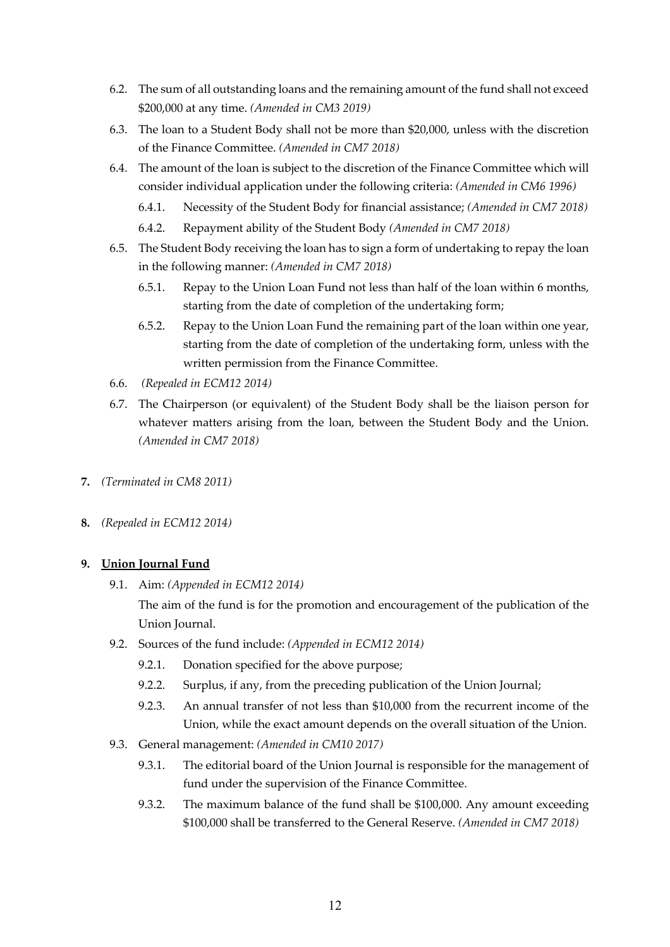- 6.2. The sum of all outstanding loans and the remaining amount of the fund shall not exceed \$200,000 at any time. *(Amended in CM3 2019)*
- 6.3. The loan to a Student Body shall not be more than \$20,000, unless with the discretion of the Finance Committee. *(Amended in CM7 2018)*
- 6.4. The amount of the loan is subject to the discretion of the Finance Committee which will consider individual application under the following criteria: *(Amended in CM6 1996)*
	- 6.4.1. Necessity of the Student Body for financial assistance; *(Amended in CM7 2018)*
	- 6.4.2. Repayment ability of the Student Body *(Amended in CM7 2018)*
- 6.5. The Student Body receiving the loan has to sign a form of undertaking to repay the loan in the following manner: *(Amended in CM7 2018)*
	- 6.5.1. Repay to the Union Loan Fund not less than half of the loan within 6 months, starting from the date of completion of the undertaking form;
	- 6.5.2. Repay to the Union Loan Fund the remaining part of the loan within one year, starting from the date of completion of the undertaking form, unless with the written permission from the Finance Committee.
- 6.6. *(Repealed in ECM12 2014)*
- 6.7. The Chairperson (or equivalent) of the Student Body shall be the liaison person for whatever matters arising from the loan, between the Student Body and the Union. *(Amended in CM7 2018)*
- **7.** *(Terminated in CM8 2011)*
- **8.** *(Repealed in ECM12 2014)*

### **9. Union Journal Fund**

9.1. Aim: *(Appended in ECM12 2014)*

The aim of the fund is for the promotion and encouragement of the publication of the Union Journal.

- 9.2. Sources of the fund include: *(Appended in ECM12 2014)*
	- 9.2.1. Donation specified for the above purpose;
	- 9.2.2. Surplus, if any, from the preceding publication of the Union Journal;
	- 9.2.3. An annual transfer of not less than \$10,000 from the recurrent income of the Union, while the exact amount depends on the overall situation of the Union.
- 9.3. General management: *(Amended in CM10 2017)*
	- 9.3.1. The editorial board of the Union Journal is responsible for the management of fund under the supervision of the Finance Committee.
	- 9.3.2. The maximum balance of the fund shall be \$100,000. Any amount exceeding \$100,000 shall be transferred to the General Reserve. *(Amended in CM7 2018)*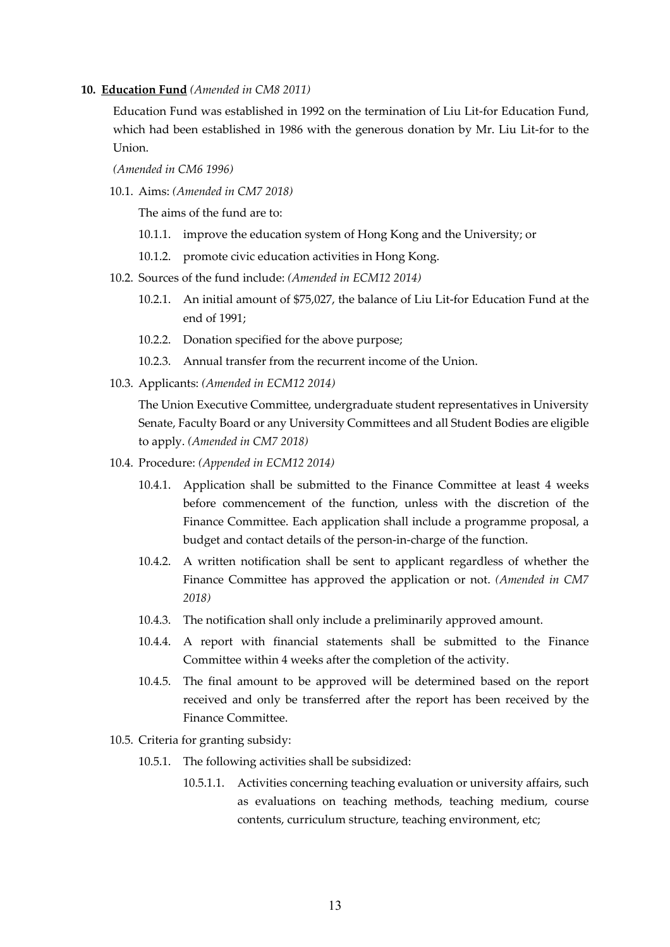#### **10. Education Fund** *(Amended in CM8 2011)*

Education Fund was established in 1992 on the termination of Liu Lit-for Education Fund, which had been established in 1986 with the generous donation by Mr. Liu Lit-for to the Union.

*(Amended in CM6 1996)*

10.1. Aims: *(Amended in CM7 2018)*

The aims of the fund are to:

- 10.1.1. improve the education system of Hong Kong and the University; or
- 10.1.2. promote civic education activities in Hong Kong.
- 10.2. Sources of the fund include: *(Amended in ECM12 2014)*
	- 10.2.1. An initial amount of \$75,027, the balance of Liu Lit-for Education Fund at the end of 1991;
	- 10.2.2. Donation specified for the above purpose;
	- 10.2.3. Annual transfer from the recurrent income of the Union.
- 10.3. Applicants: *(Amended in ECM12 2014)*

The Union Executive Committee, undergraduate student representatives in University Senate, Faculty Board or any University Committees and all Student Bodies are eligible to apply. *(Amended in CM7 2018)*

- 10.4. Procedure: *(Appended in ECM12 2014)*
	- 10.4.1. Application shall be submitted to the Finance Committee at least 4 weeks before commencement of the function, unless with the discretion of the Finance Committee. Each application shall include a programme proposal, a budget and contact details of the person-in-charge of the function.
	- 10.4.2. A written notification shall be sent to applicant regardless of whether the Finance Committee has approved the application or not. *(Amended in CM7 2018)*
	- 10.4.3. The notification shall only include a preliminarily approved amount.
	- 10.4.4. A report with financial statements shall be submitted to the Finance Committee within 4 weeks after the completion of the activity.
	- 10.4.5. The final amount to be approved will be determined based on the report received and only be transferred after the report has been received by the Finance Committee.
- 10.5. Criteria for granting subsidy:
	- 10.5.1. The following activities shall be subsidized:
		- 10.5.1.1. Activities concerning teaching evaluation or university affairs, such as evaluations on teaching methods, teaching medium, course contents, curriculum structure, teaching environment, etc;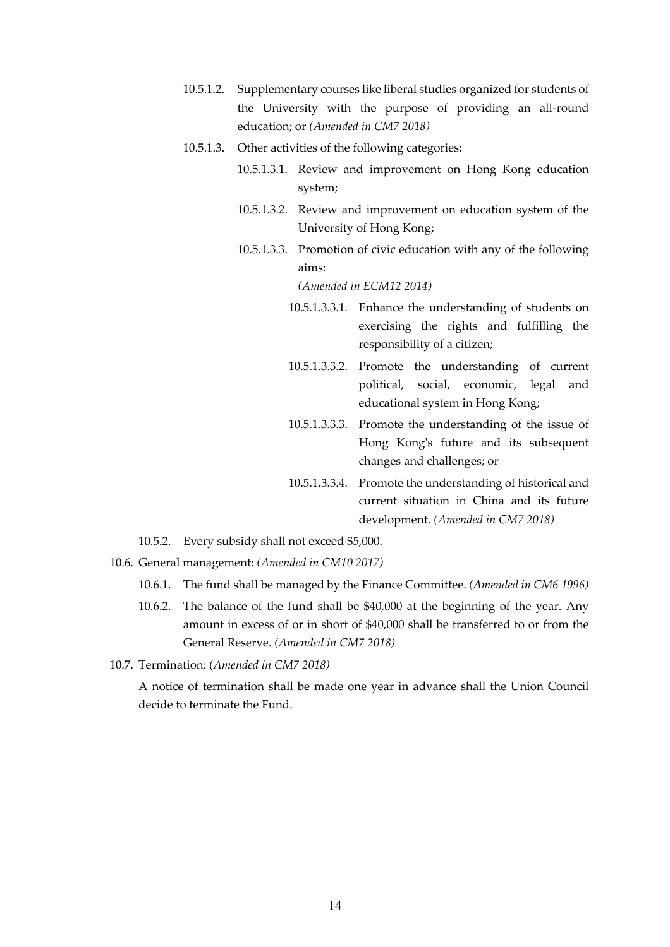- 10.5.1.2. Supplementary courses like liberal studies organized for students of the University with the purpose of providing an all-round education; or *(Amended in CM7 2018)*
- 10.5.1.3. Other activities of the following categories:
	- 10.5.1.3.1. Review and improvement on Hong Kong education system;
	- 10.5.1.3.2. Review and improvement on education system of the University of Hong Kong;
	- 10.5.1.3.3. Promotion of civic education with any of the following aims:

*(Amended in ECM12 2014)*

- 10.5.1.3.3.1. Enhance the understanding of students on exercising the rights and fulfilling the responsibility of a citizen;
- 10.5.1.3.3.2. Promote the understanding of current political, social, economic, legal and educational system in Hong Kong;
- 10.5.1.3.3.3. Promote the understanding of the issue of Hong Kong's future and its subsequent changes and challenges; or
- 10.5.1.3.3.4. Promote the understanding of historical and current situation in China and its future development. *(Amended in CM7 2018)*
- 10.5.2. Every subsidy shall not exceed \$5,000.
- 10.6. General management: *(Amended in CM10 2017)*
	- 10.6.1. The fund shall be managed by the Finance Committee. *(Amended in CM6 1996)*
	- 10.6.2. The balance of the fund shall be \$40,000 at the beginning of the year. Any amount in excess of or in short of \$40,000 shall be transferred to or from the General Reserve. *(Amended in CM7 2018)*
- 10.7. Termination: (*Amended in CM7 2018)*

A notice of termination shall be made one year in advance shall the Union Council decide to terminate the Fund.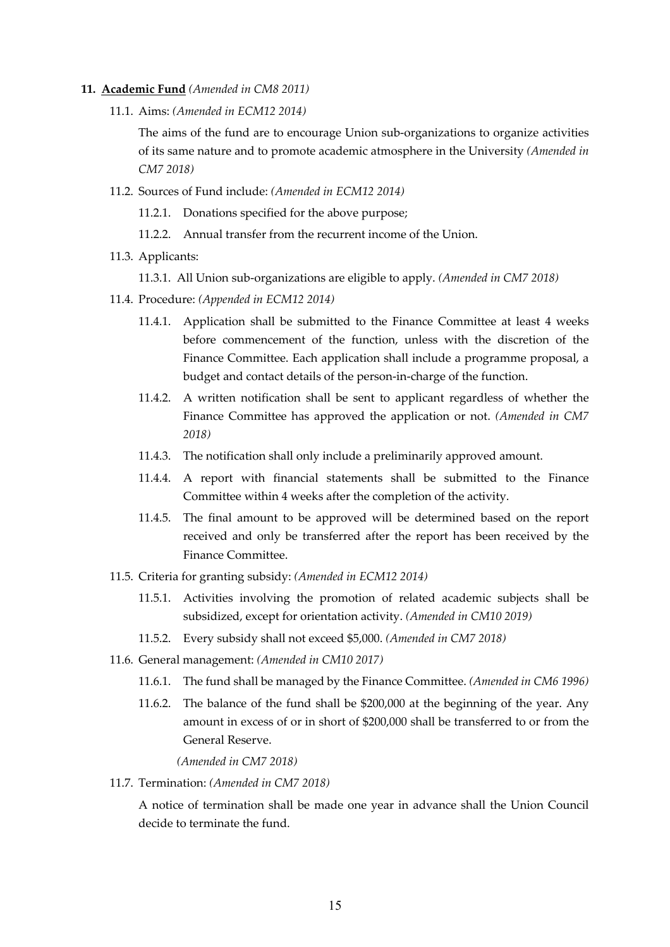- **11. Academic Fund** *(Amended in CM8 2011)*
	- 11.1. Aims: *(Amended in ECM12 2014)*

The aims of the fund are to encourage Union sub-organizations to organize activities of its same nature and to promote academic atmosphere in the University *(Amended in CM7 2018)*

11.2. Sources of Fund include: *(Amended in ECM12 2014)*

11.2.1. Donations specified for the above purpose;

- 11.2.2. Annual transfer from the recurrent income of the Union.
- 11.3. Applicants:

11.3.1. All Union sub-organizations are eligible to apply. *(Amended in CM7 2018)*

- 11.4. Procedure: *(Appended in ECM12 2014)*
	- 11.4.1. Application shall be submitted to the Finance Committee at least 4 weeks before commencement of the function, unless with the discretion of the Finance Committee. Each application shall include a programme proposal, a budget and contact details of the person-in-charge of the function.
	- 11.4.2. A written notification shall be sent to applicant regardless of whether the Finance Committee has approved the application or not. *(Amended in CM7 2018)*
	- 11.4.3. The notification shall only include a preliminarily approved amount.
	- 11.4.4. A report with financial statements shall be submitted to the Finance Committee within 4 weeks after the completion of the activity.
	- 11.4.5. The final amount to be approved will be determined based on the report received and only be transferred after the report has been received by the Finance Committee.
- 11.5. Criteria for granting subsidy: *(Amended in ECM12 2014)*
	- 11.5.1. Activities involving the promotion of related academic subjects shall be subsidized, except for orientation activity. *(Amended in CM10 2019)*
	- 11.5.2. Every subsidy shall not exceed \$5,000. *(Amended in CM7 2018)*
- 11.6. General management: *(Amended in CM10 2017)*
	- 11.6.1. The fund shall be managed by the Finance Committee. *(Amended in CM6 1996)*
	- 11.6.2. The balance of the fund shall be \$200,000 at the beginning of the year. Any amount in excess of or in short of \$200,000 shall be transferred to or from the General Reserve.

*(Amended in CM7 2018)*

11.7. Termination: *(Amended in CM7 2018)*

A notice of termination shall be made one year in advance shall the Union Council decide to terminate the fund.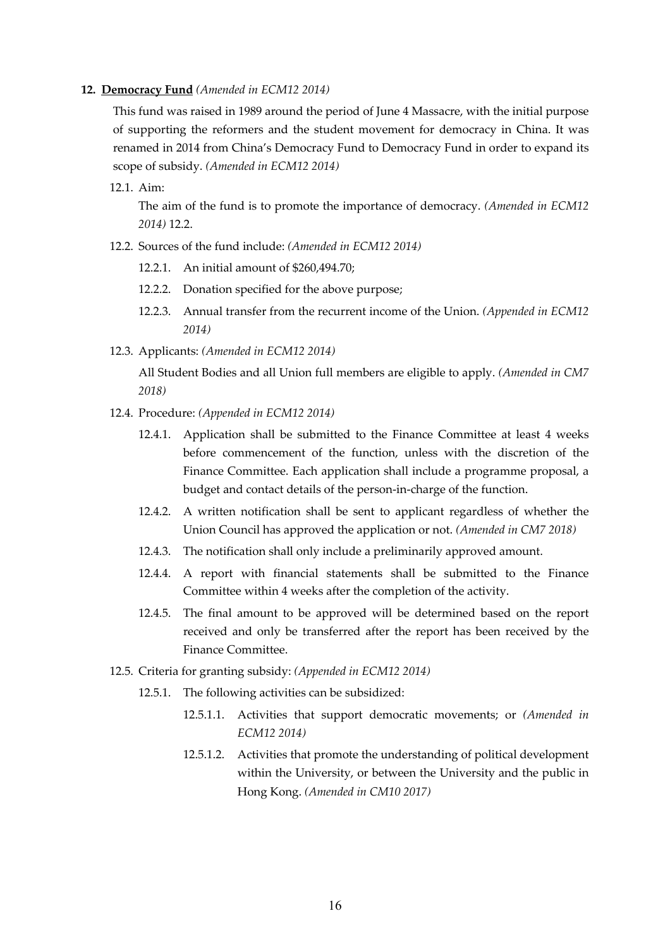#### **12. Democracy Fund** *(Amended in ECM12 2014)*

This fund was raised in 1989 around the period of June 4 Massacre, with the initial purpose of supporting the reformers and the student movement for democracy in China. It was renamed in 2014 from China's Democracy Fund to Democracy Fund in order to expand its scope of subsidy. *(Amended in ECM12 2014)*

12.1. Aim:

The aim of the fund is to promote the importance of democracy. *(Amended in ECM12 2014)* 12.2.

- 12.2. Sources of the fund include: *(Amended in ECM12 2014)*
	- 12.2.1. An initial amount of \$260,494.70;
	- 12.2.2. Donation specified for the above purpose;
	- 12.2.3. Annual transfer from the recurrent income of the Union. *(Appended in ECM12 2014)*
- 12.3. Applicants: *(Amended in ECM12 2014)*

All Student Bodies and all Union full members are eligible to apply. *(Amended in CM7 2018)*

- 12.4. Procedure: *(Appended in ECM12 2014)*
	- 12.4.1. Application shall be submitted to the Finance Committee at least 4 weeks before commencement of the function, unless with the discretion of the Finance Committee. Each application shall include a programme proposal, a budget and contact details of the person-in-charge of the function.
	- 12.4.2. A written notification shall be sent to applicant regardless of whether the Union Council has approved the application or not. *(Amended in CM7 2018)*
	- 12.4.3. The notification shall only include a preliminarily approved amount.
	- 12.4.4. A report with financial statements shall be submitted to the Finance Committee within 4 weeks after the completion of the activity.
	- 12.4.5. The final amount to be approved will be determined based on the report received and only be transferred after the report has been received by the Finance Committee.
- 12.5. Criteria for granting subsidy: *(Appended in ECM12 2014)*
	- 12.5.1. The following activities can be subsidized:
		- 12.5.1.1. Activities that support democratic movements; or *(Amended in ECM12 2014)*
		- 12.5.1.2. Activities that promote the understanding of political development within the University, or between the University and the public in Hong Kong. *(Amended in CM10 2017)*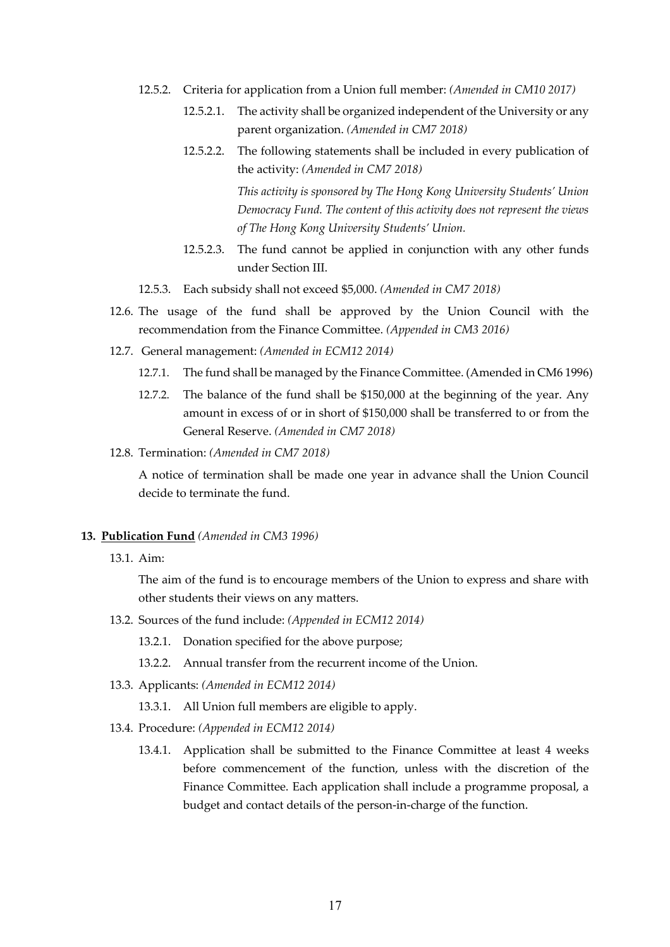- 12.5.2. Criteria for application from a Union full member: *(Amended in CM10 2017)*
	- 12.5.2.1. The activity shall be organized independent of the University or any parent organization. *(Amended in CM7 2018)*
	- 12.5.2.2. The following statements shall be included in every publication of the activity: *(Amended in CM7 2018) This activity is sponsored by The Hong Kong University Students' Union Democracy Fund. The content of this activity does not represent the views*
	- 12.5.2.3. The fund cannot be applied in conjunction with any other funds under Section III.
- 12.5.3. Each subsidy shall not exceed \$5,000. *(Amended in CM7 2018)*
- 12.6. The usage of the fund shall be approved by the Union Council with the recommendation from the Finance Committee. *(Appended in CM3 2016)*

*of The Hong Kong University Students' Union.*

- 12.7. General management: *(Amended in ECM12 2014)*
	- 12.7.1. The fund shall be managed by the Finance Committee. (Amended in CM6 1996)
	- 12.7.2. The balance of the fund shall be \$150,000 at the beginning of the year. Any amount in excess of or in short of \$150,000 shall be transferred to or from the General Reserve. *(Amended in CM7 2018)*
- 12.8. Termination: *(Amended in CM7 2018)*

A notice of termination shall be made one year in advance shall the Union Council decide to terminate the fund.

#### **13. Publication Fund** *(Amended in CM3 1996)*

13.1. Aim:

The aim of the fund is to encourage members of the Union to express and share with other students their views on any matters.

- 13.2. Sources of the fund include: *(Appended in ECM12 2014)*
	- 13.2.1. Donation specified for the above purpose;
	- 13.2.2. Annual transfer from the recurrent income of the Union.
- 13.3. Applicants: *(Amended in ECM12 2014)*
	- 13.3.1. All Union full members are eligible to apply.
- 13.4. Procedure: *(Appended in ECM12 2014)*
	- 13.4.1. Application shall be submitted to the Finance Committee at least 4 weeks before commencement of the function, unless with the discretion of the Finance Committee. Each application shall include a programme proposal, a budget and contact details of the person-in-charge of the function.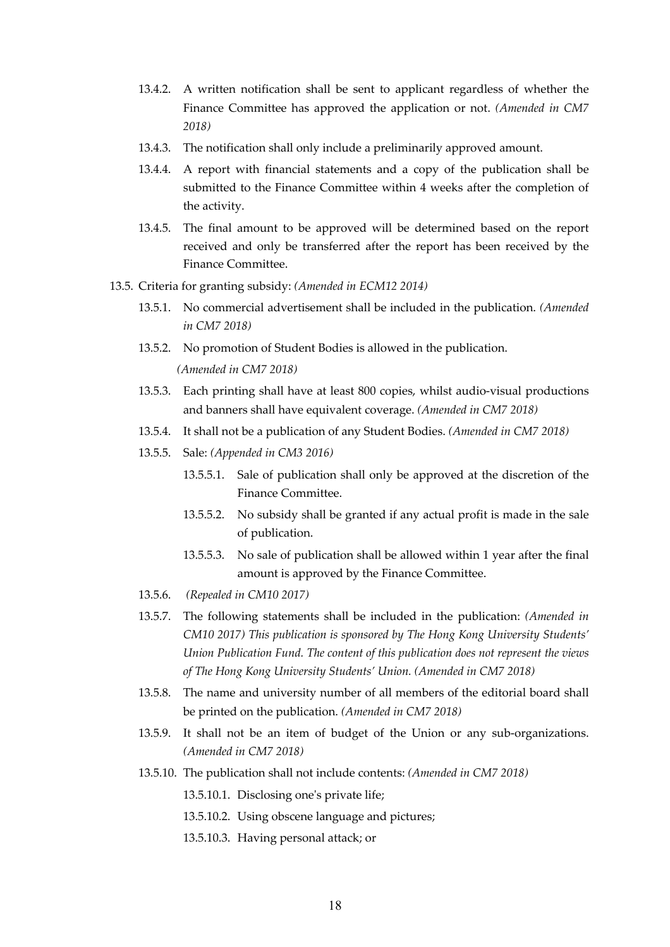- 13.4.2. A written notification shall be sent to applicant regardless of whether the Finance Committee has approved the application or not. *(Amended in CM7 2018)*
- 13.4.3. The notification shall only include a preliminarily approved amount.
- 13.4.4. A report with financial statements and a copy of the publication shall be submitted to the Finance Committee within 4 weeks after the completion of the activity.
- 13.4.5. The final amount to be approved will be determined based on the report received and only be transferred after the report has been received by the Finance Committee.
- 13.5. Criteria for granting subsidy: *(Amended in ECM12 2014)*
	- 13.5.1. No commercial advertisement shall be included in the publication. *(Amended in CM7 2018)*
	- 13.5.2. No promotion of Student Bodies is allowed in the publication.

*(Amended in CM7 2018)*

- 13.5.3. Each printing shall have at least 800 copies, whilst audio-visual productions and banners shall have equivalent coverage. *(Amended in CM7 2018)*
- 13.5.4. It shall not be a publication of any Student Bodies. *(Amended in CM7 2018)*
- 13.5.5. Sale: *(Appended in CM3 2016)*
	- 13.5.5.1. Sale of publication shall only be approved at the discretion of the Finance Committee.
	- 13.5.5.2. No subsidy shall be granted if any actual profit is made in the sale of publication.
	- 13.5.5.3. No sale of publication shall be allowed within 1 year after the final amount is approved by the Finance Committee.
- 13.5.6. *(Repealed in CM10 2017)*
- 13.5.7. The following statements shall be included in the publication: *(Amended in CM10 2017) This publication is sponsored by The Hong Kong University Students' Union Publication Fund. The content of this publication does not represent the views of The Hong Kong University Students' Union. (Amended in CM7 2018)*
- 13.5.8. The name and university number of all members of the editorial board shall be printed on the publication. *(Amended in CM7 2018)*
- 13.5.9. It shall not be an item of budget of the Union or any sub-organizations. *(Amended in CM7 2018)*
- 13.5.10. The publication shall not include contents: *(Amended in CM7 2018)*

13.5.10.1. Disclosing one's private life;

- 13.5.10.2. Using obscene language and pictures;
- 13.5.10.3. Having personal attack; or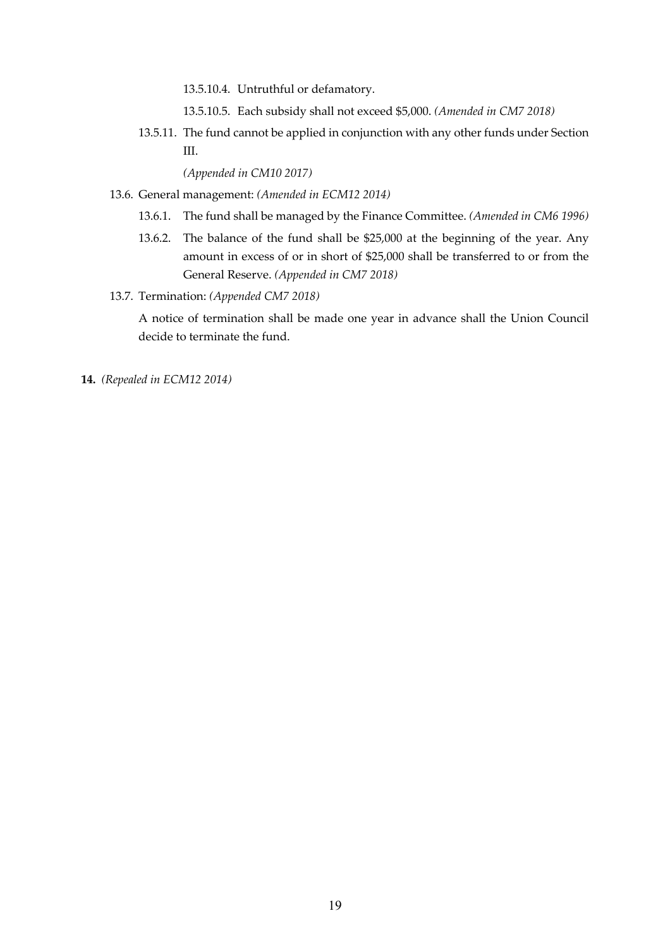13.5.10.4. Untruthful or defamatory.

- 13.5.10.5. Each subsidy shall not exceed \$5,000. *(Amended in CM7 2018)*
- 13.5.11. The fund cannot be applied in conjunction with any other funds under Section III.

*(Appended in CM10 2017)*

- 13.6. General management: *(Amended in ECM12 2014)*
	- 13.6.1. The fund shall be managed by the Finance Committee. *(Amended in CM6 1996)*
	- 13.6.2. The balance of the fund shall be \$25,000 at the beginning of the year. Any amount in excess of or in short of \$25,000 shall be transferred to or from the General Reserve. *(Appended in CM7 2018)*
- 13.7. Termination: *(Appended CM7 2018)*

A notice of termination shall be made one year in advance shall the Union Council decide to terminate the fund.

**14.** *(Repealed in ECM12 2014)*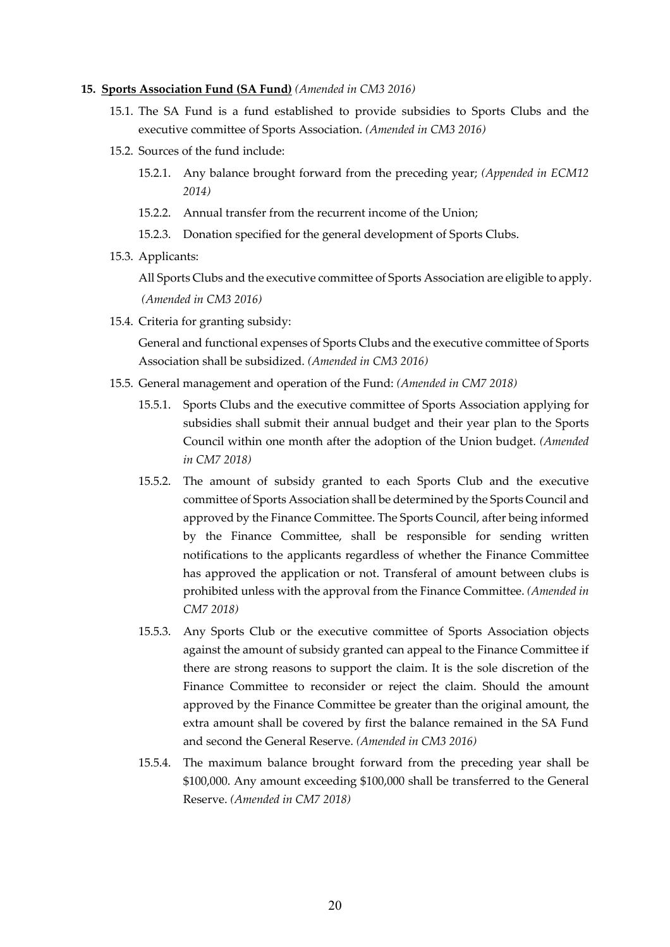#### **15. Sports Association Fund (SA Fund)** *(Amended in CM3 2016)*

- 15.1. The SA Fund is a fund established to provide subsidies to Sports Clubs and the executive committee of Sports Association. *(Amended in CM3 2016)*
- 15.2. Sources of the fund include:
	- 15.2.1. Any balance brought forward from the preceding year; *(Appended in ECM12 2014)*
	- 15.2.2. Annual transfer from the recurrent income of the Union;
	- 15.2.3. Donation specified for the general development of Sports Clubs.
- 15.3. Applicants:

All Sports Clubs and the executive committee of Sports Association are eligible to apply. *(Amended in CM3 2016)*

15.4. Criteria for granting subsidy:

General and functional expenses of Sports Clubs and the executive committee of Sports Association shall be subsidized. *(Amended in CM3 2016)*

- 15.5. General management and operation of the Fund: *(Amended in CM7 2018)*
	- 15.5.1. Sports Clubs and the executive committee of Sports Association applying for subsidies shall submit their annual budget and their year plan to the Sports Council within one month after the adoption of the Union budget. *(Amended in CM7 2018)*
	- 15.5.2. The amount of subsidy granted to each Sports Club and the executive committee of Sports Association shall be determined by the Sports Council and approved by the Finance Committee. The Sports Council, after being informed by the Finance Committee, shall be responsible for sending written notifications to the applicants regardless of whether the Finance Committee has approved the application or not. Transferal of amount between clubs is prohibited unless with the approval from the Finance Committee. *(Amended in CM7 2018)*
	- 15.5.3. Any Sports Club or the executive committee of Sports Association objects against the amount of subsidy granted can appeal to the Finance Committee if there are strong reasons to support the claim. It is the sole discretion of the Finance Committee to reconsider or reject the claim. Should the amount approved by the Finance Committee be greater than the original amount, the extra amount shall be covered by first the balance remained in the SA Fund and second the General Reserve. *(Amended in CM3 2016)*
	- 15.5.4. The maximum balance brought forward from the preceding year shall be \$100,000. Any amount exceeding \$100,000 shall be transferred to the General Reserve. *(Amended in CM7 2018)*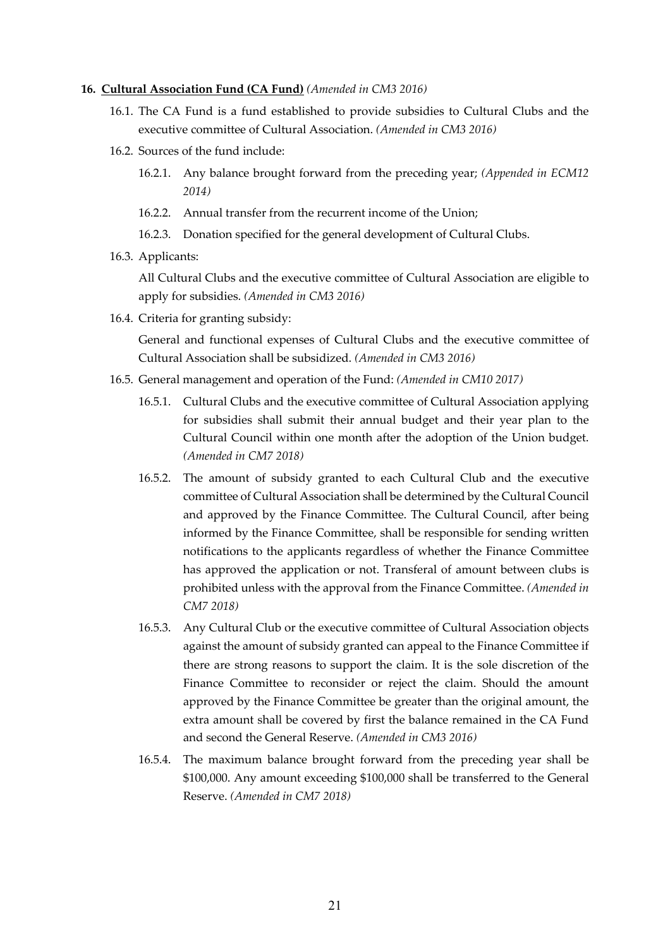#### **16. Cultural Association Fund (CA Fund)** *(Amended in CM3 2016)*

- 16.1. The CA Fund is a fund established to provide subsidies to Cultural Clubs and the executive committee of Cultural Association. *(Amended in CM3 2016)*
- 16.2. Sources of the fund include:
	- 16.2.1. Any balance brought forward from the preceding year; *(Appended in ECM12 2014)*
	- 16.2.2. Annual transfer from the recurrent income of the Union;
	- 16.2.3. Donation specified for the general development of Cultural Clubs.
- 16.3. Applicants:

All Cultural Clubs and the executive committee of Cultural Association are eligible to apply for subsidies. *(Amended in CM3 2016)*

16.4. Criteria for granting subsidy:

General and functional expenses of Cultural Clubs and the executive committee of Cultural Association shall be subsidized. *(Amended in CM3 2016)*

- 16.5. General management and operation of the Fund: *(Amended in CM10 2017)*
	- 16.5.1. Cultural Clubs and the executive committee of Cultural Association applying for subsidies shall submit their annual budget and their year plan to the Cultural Council within one month after the adoption of the Union budget. *(Amended in CM7 2018)*
	- 16.5.2. The amount of subsidy granted to each Cultural Club and the executive committee of Cultural Association shall be determined by the Cultural Council and approved by the Finance Committee. The Cultural Council, after being informed by the Finance Committee, shall be responsible for sending written notifications to the applicants regardless of whether the Finance Committee has approved the application or not. Transferal of amount between clubs is prohibited unless with the approval from the Finance Committee. *(Amended in CM7 2018)*
	- 16.5.3. Any Cultural Club or the executive committee of Cultural Association objects against the amount of subsidy granted can appeal to the Finance Committee if there are strong reasons to support the claim. It is the sole discretion of the Finance Committee to reconsider or reject the claim. Should the amount approved by the Finance Committee be greater than the original amount, the extra amount shall be covered by first the balance remained in the CA Fund and second the General Reserve. *(Amended in CM3 2016)*
	- 16.5.4. The maximum balance brought forward from the preceding year shall be \$100,000. Any amount exceeding \$100,000 shall be transferred to the General Reserve. *(Amended in CM7 2018)*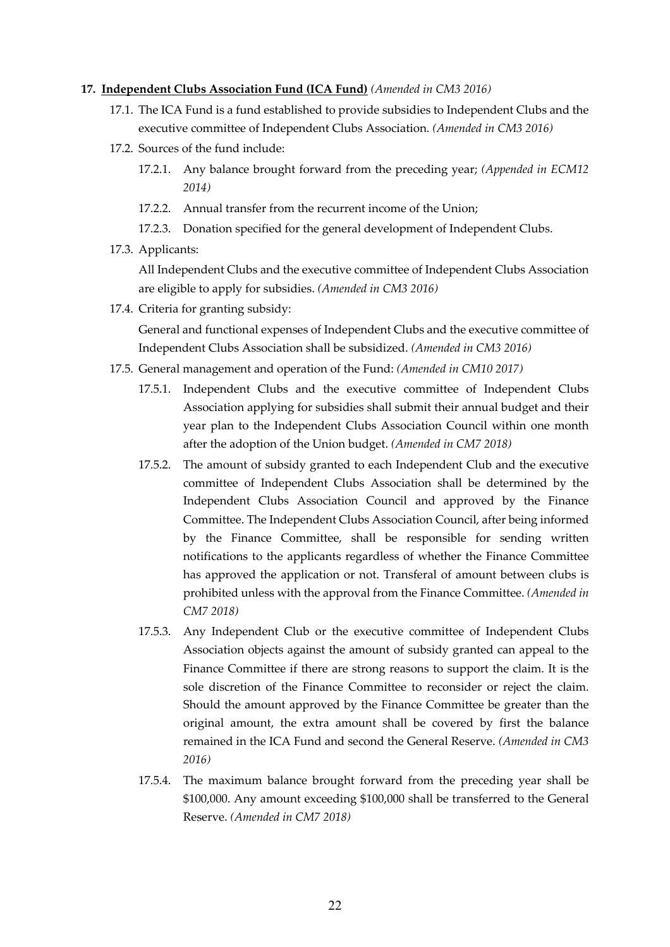### **17. Independent Clubs Association Fund (ICA Fund)** *(Amended in CM3 2016)*

- 17.1. The ICA Fund is a fund established to provide subsidies to Independent Clubs and the executive committee of Independent Clubs Association. *(Amended in CM3 2016)*
- 17.2. Sources of the fund include:
	- 17.2.1. Any balance brought forward from the preceding year; *(Appended in ECM12 2014)*
	- 17.2.2. Annual transfer from the recurrent income of the Union;
	- 17.2.3. Donation specified for the general development of Independent Clubs.
- 17.3. Applicants:

All Independent Clubs and the executive committee of Independent Clubs Association are eligible to apply for subsidies. *(Amended in CM3 2016)*

17.4. Criteria for granting subsidy:

General and functional expenses of Independent Clubs and the executive committee of Independent Clubs Association shall be subsidized. *(Amended in CM3 2016)*

- 17.5. General management and operation of the Fund: *(Amended in CM10 2017)*
	- 17.5.1. Independent Clubs and the executive committee of Independent Clubs Association applying for subsidies shall submit their annual budget and their year plan to the Independent Clubs Association Council within one month after the adoption of the Union budget. *(Amended in CM7 2018)*
	- 17.5.2. The amount of subsidy granted to each Independent Club and the executive committee of Independent Clubs Association shall be determined by the Independent Clubs Association Council and approved by the Finance Committee. The Independent Clubs Association Council, after being informed by the Finance Committee, shall be responsible for sending written notifications to the applicants regardless of whether the Finance Committee has approved the application or not. Transferal of amount between clubs is prohibited unless with the approval from the Finance Committee. *(Amended in CM7 2018)*
	- 17.5.3. Any Independent Club or the executive committee of Independent Clubs Association objects against the amount of subsidy granted can appeal to the Finance Committee if there are strong reasons to support the claim. It is the sole discretion of the Finance Committee to reconsider or reject the claim. Should the amount approved by the Finance Committee be greater than the original amount, the extra amount shall be covered by first the balance remained in the ICA Fund and second the General Reserve. *(Amended in CM3 2016)*
	- 17.5.4. The maximum balance brought forward from the preceding year shall be \$100,000. Any amount exceeding \$100,000 shall be transferred to the General Reserve. *(Amended in CM7 2018)*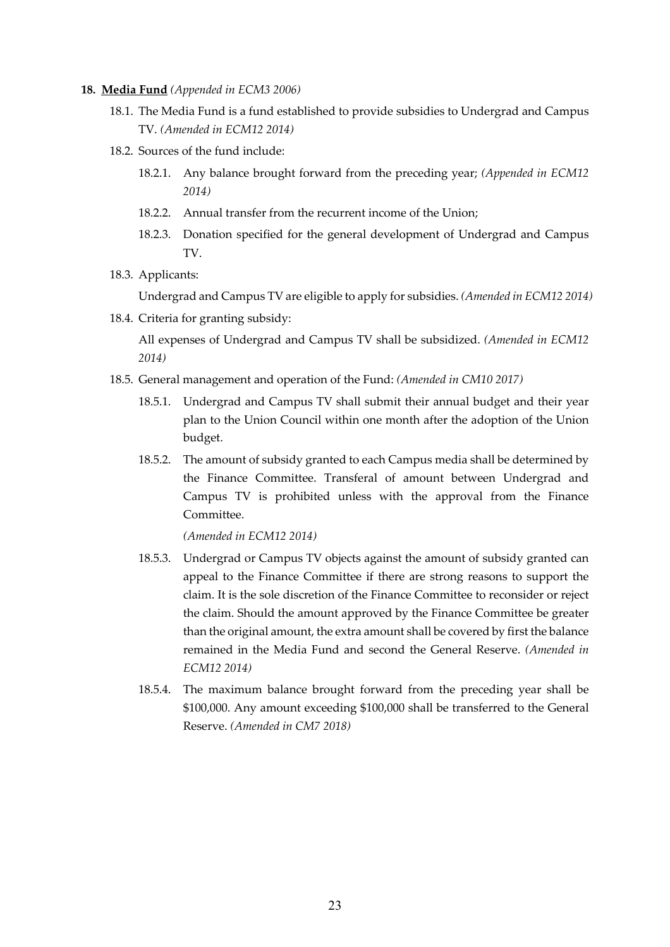- **18. Media Fund** *(Appended in ECM3 2006)*
	- 18.1. The Media Fund is a fund established to provide subsidies to Undergrad and Campus TV. *(Amended in ECM12 2014)*
	- 18.2. Sources of the fund include:
		- 18.2.1. Any balance brought forward from the preceding year; *(Appended in ECM12 2014)*
		- 18.2.2. Annual transfer from the recurrent income of the Union;
		- 18.2.3. Donation specified for the general development of Undergrad and Campus TV.
	- 18.3. Applicants:

Undergrad and Campus TV are eligible to apply for subsidies. *(Amended in ECM12 2014)*

18.4. Criteria for granting subsidy:

All expenses of Undergrad and Campus TV shall be subsidized. *(Amended in ECM12 2014)*

- 18.5. General management and operation of the Fund: *(Amended in CM10 2017)*
	- 18.5.1. Undergrad and Campus TV shall submit their annual budget and their year plan to the Union Council within one month after the adoption of the Union budget.
	- 18.5.2. The amount of subsidy granted to each Campus media shall be determined by the Finance Committee. Transferal of amount between Undergrad and Campus TV is prohibited unless with the approval from the Finance Committee.

*(Amended in ECM12 2014)*

- 18.5.3. Undergrad or Campus TV objects against the amount of subsidy granted can appeal to the Finance Committee if there are strong reasons to support the claim. It is the sole discretion of the Finance Committee to reconsider or reject the claim. Should the amount approved by the Finance Committee be greater than the original amount, the extra amount shall be covered by first the balance remained in the Media Fund and second the General Reserve. *(Amended in ECM12 2014)*
- 18.5.4. The maximum balance brought forward from the preceding year shall be \$100,000. Any amount exceeding \$100,000 shall be transferred to the General Reserve. *(Amended in CM7 2018)*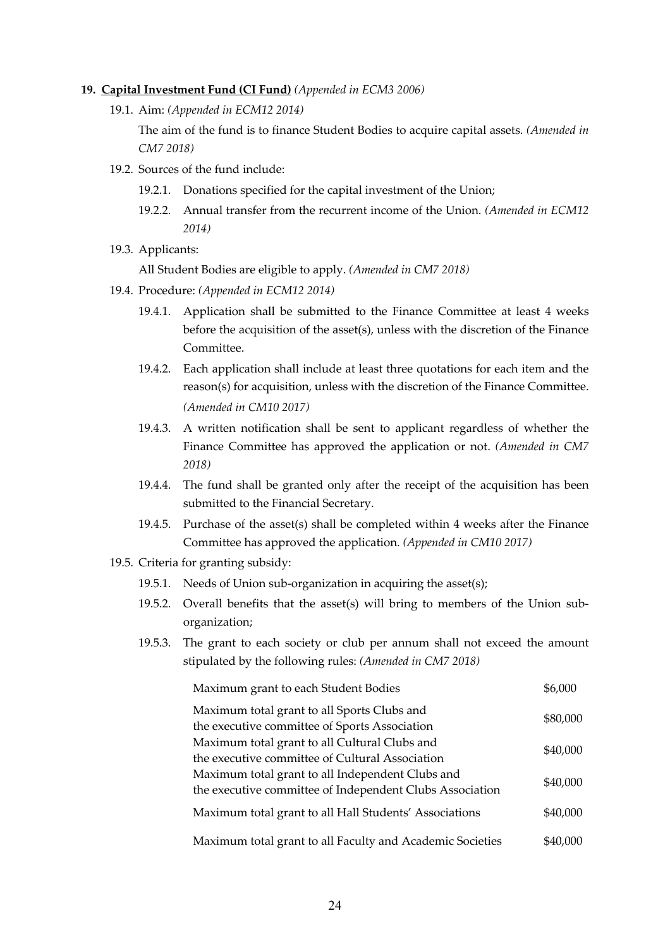#### **19. Capital Investment Fund (CI Fund)** *(Appended in ECM3 2006)*

19.1. Aim: *(Appended in ECM12 2014)*

The aim of the fund is to finance Student Bodies to acquire capital assets. *(Amended in CM7 2018)*

- 19.2. Sources of the fund include:
	- 19.2.1. Donations specified for the capital investment of the Union;
	- 19.2.2. Annual transfer from the recurrent income of the Union. *(Amended in ECM12 2014)*
- 19.3. Applicants:

All Student Bodies are eligible to apply. *(Amended in CM7 2018)*

- 19.4. Procedure: *(Appended in ECM12 2014)*
	- 19.4.1. Application shall be submitted to the Finance Committee at least 4 weeks before the acquisition of the asset(s), unless with the discretion of the Finance Committee.
	- 19.4.2. Each application shall include at least three quotations for each item and the reason(s) for acquisition, unless with the discretion of the Finance Committee. *(Amended in CM10 2017)*
	- 19.4.3. A written notification shall be sent to applicant regardless of whether the Finance Committee has approved the application or not. *(Amended in CM7 2018)*
	- 19.4.4. The fund shall be granted only after the receipt of the acquisition has been submitted to the Financial Secretary.
	- 19.4.5. Purchase of the asset(s) shall be completed within 4 weeks after the Finance Committee has approved the application. *(Appended in CM10 2017)*
- 19.5. Criteria for granting subsidy:
	- 19.5.1. Needs of Union sub-organization in acquiring the asset(s);
	- 19.5.2. Overall benefits that the asset(s) will bring to members of the Union suborganization;
	- 19.5.3. The grant to each society or club per annum shall not exceed the amount stipulated by the following rules: *(Amended in CM7 2018)*

| Maximum grant to each Student Bodies                                                                         | \$6,000  |
|--------------------------------------------------------------------------------------------------------------|----------|
| Maximum total grant to all Sports Clubs and<br>the executive committee of Sports Association                 | \$80,000 |
| Maximum total grant to all Cultural Clubs and<br>the executive committee of Cultural Association             | \$40,000 |
| Maximum total grant to all Independent Clubs and<br>the executive committee of Independent Clubs Association | \$40,000 |
| Maximum total grant to all Hall Students' Associations                                                       | \$40,000 |
| Maximum total grant to all Faculty and Academic Societies                                                    | \$40,000 |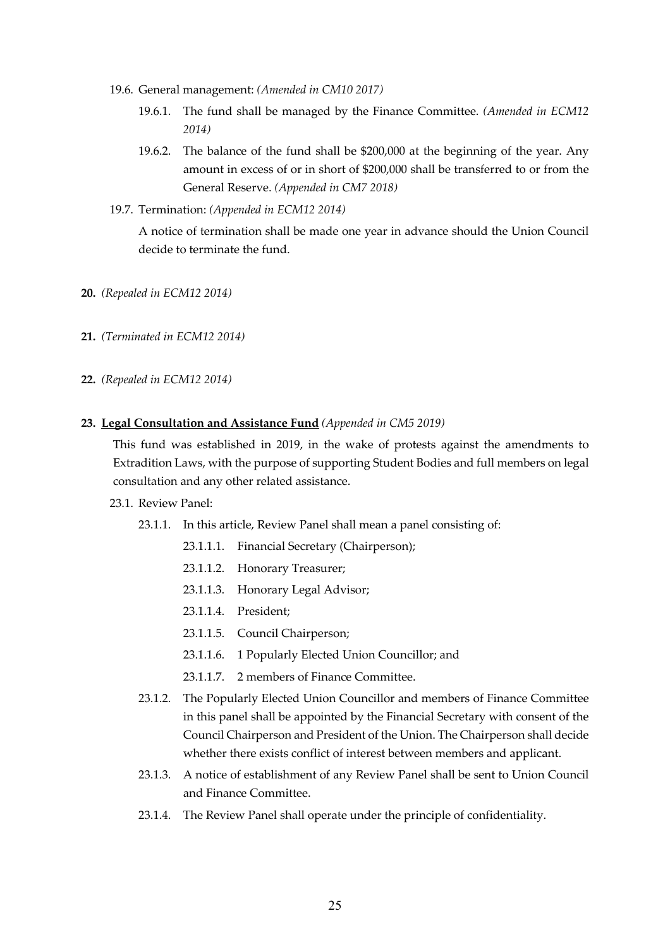- 19.6. General management: *(Amended in CM10 2017)*
	- 19.6.1. The fund shall be managed by the Finance Committee. *(Amended in ECM12 2014)*
	- 19.6.2. The balance of the fund shall be \$200,000 at the beginning of the year. Any amount in excess of or in short of \$200,000 shall be transferred to or from the General Reserve. *(Appended in CM7 2018)*
- 19.7. Termination: *(Appended in ECM12 2014)*

A notice of termination shall be made one year in advance should the Union Council decide to terminate the fund.

- **20.** *(Repealed in ECM12 2014)*
- **21.** *(Terminated in ECM12 2014)*
- **22.** *(Repealed in ECM12 2014)*
- **23. Legal Consultation and Assistance Fund** *(Appended in CM5 2019)*

This fund was established in 2019, in the wake of protests against the amendments to Extradition Laws, with the purpose of supporting Student Bodies and full members on legal consultation and any other related assistance.

#### 23.1. Review Panel:

- 23.1.1. In this article, Review Panel shall mean a panel consisting of:
	- 23.1.1.1. Financial Secretary (Chairperson);
	- 23.1.1.2. Honorary Treasurer;
	- 23.1.1.3. Honorary Legal Advisor;
	- 23.1.1.4. President;
	- 23.1.1.5. Council Chairperson;
	- 23.1.1.6. 1 Popularly Elected Union Councillor; and
	- 23.1.1.7. 2 members of Finance Committee.
- 23.1.2. The Popularly Elected Union Councillor and members of Finance Committee in this panel shall be appointed by the Financial Secretary with consent of the Council Chairperson and President of the Union. The Chairperson shall decide whether there exists conflict of interest between members and applicant.
- 23.1.3. A notice of establishment of any Review Panel shall be sent to Union Council and Finance Committee.
- 23.1.4. The Review Panel shall operate under the principle of confidentiality.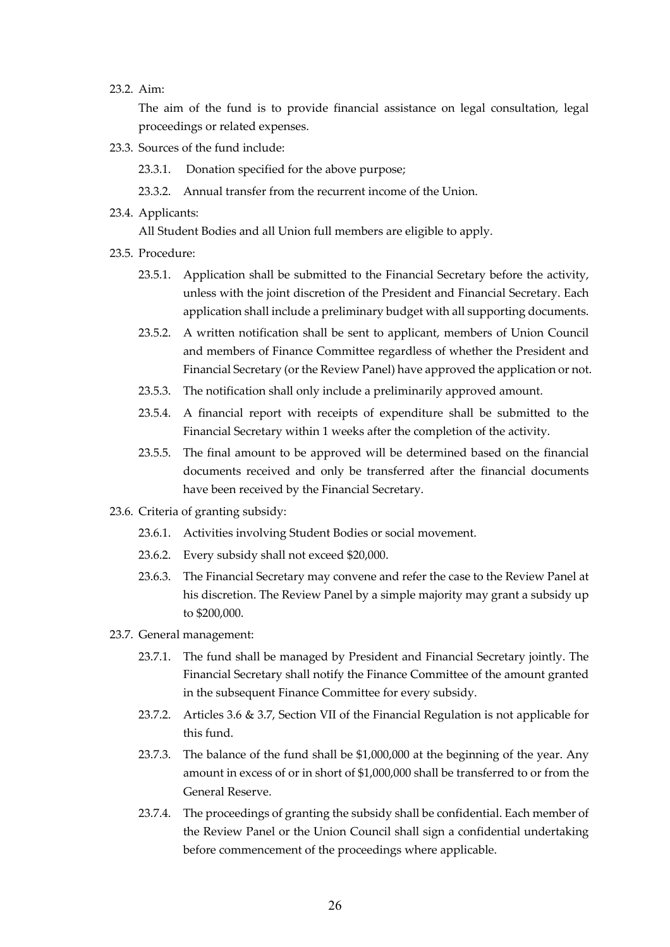23.2. Aim:

The aim of the fund is to provide financial assistance on legal consultation, legal proceedings or related expenses.

- 23.3. Sources of the fund include:
	- 23.3.1. Donation specified for the above purpose;
	- 23.3.2. Annual transfer from the recurrent income of the Union.
- 23.4. Applicants:

All Student Bodies and all Union full members are eligible to apply.

- 23.5. Procedure:
	- 23.5.1. Application shall be submitted to the Financial Secretary before the activity, unless with the joint discretion of the President and Financial Secretary. Each application shall include a preliminary budget with all supporting documents.
	- 23.5.2. A written notification shall be sent to applicant, members of Union Council and members of Finance Committee regardless of whether the President and Financial Secretary (or the Review Panel) have approved the application or not.
	- 23.5.3. The notification shall only include a preliminarily approved amount.
	- 23.5.4. A financial report with receipts of expenditure shall be submitted to the Financial Secretary within 1 weeks after the completion of the activity.
	- 23.5.5. The final amount to be approved will be determined based on the financial documents received and only be transferred after the financial documents have been received by the Financial Secretary.
- 23.6. Criteria of granting subsidy:
	- 23.6.1. Activities involving Student Bodies or social movement.
	- 23.6.2. Every subsidy shall not exceed \$20,000.
	- 23.6.3. The Financial Secretary may convene and refer the case to the Review Panel at his discretion. The Review Panel by a simple majority may grant a subsidy up to \$200,000.
- 23.7. General management:
	- 23.7.1. The fund shall be managed by President and Financial Secretary jointly. The Financial Secretary shall notify the Finance Committee of the amount granted in the subsequent Finance Committee for every subsidy.
	- 23.7.2. Articles 3.6 & 3.7, Section VII of the Financial Regulation is not applicable for this fund.
	- 23.7.3. The balance of the fund shall be \$1,000,000 at the beginning of the year. Any amount in excess of or in short of \$1,000,000 shall be transferred to or from the General Reserve.
	- 23.7.4. The proceedings of granting the subsidy shall be confidential. Each member of the Review Panel or the Union Council shall sign a confidential undertaking before commencement of the proceedings where applicable.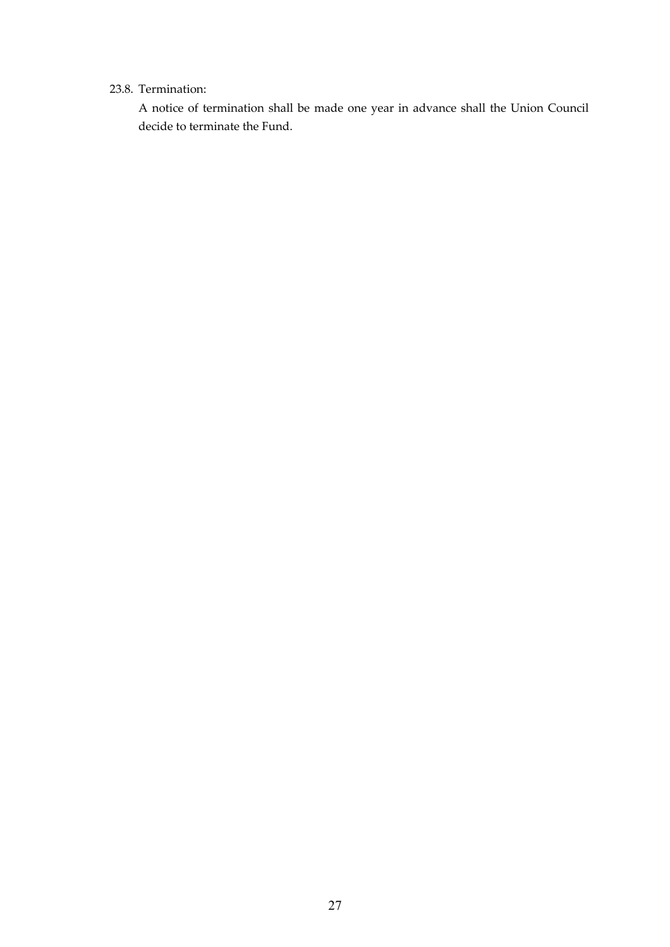### 23.8. Termination:

A notice of termination shall be made one year in advance shall the Union Council decide to terminate the Fund.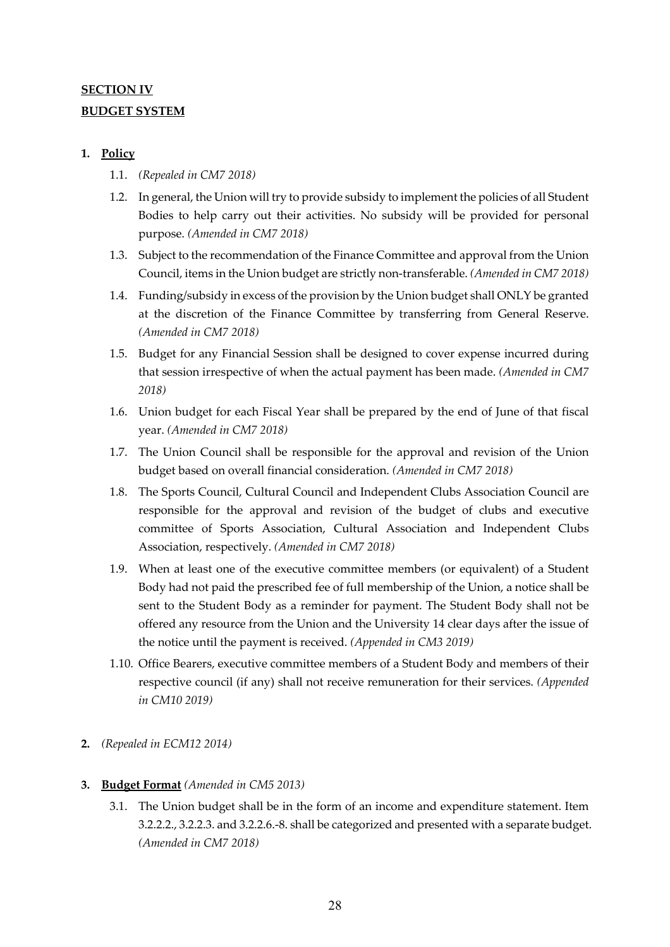## **SECTION IV BUDGET SYSTEM**

## **1. Policy**

- 1.1. *(Repealed in CM7 2018)*
- 1.2. In general, the Union will try to provide subsidy to implement the policies of all Student Bodies to help carry out their activities. No subsidy will be provided for personal purpose. *(Amended in CM7 2018)*
- 1.3. Subject to the recommendation of the Finance Committee and approval from the Union Council, items in the Union budget are strictly non-transferable. *(Amended in CM7 2018)*
- 1.4. Funding/subsidy in excess of the provision by the Union budget shall ONLY be granted at the discretion of the Finance Committee by transferring from General Reserve. *(Amended in CM7 2018)*
- 1.5. Budget for any Financial Session shall be designed to cover expense incurred during that session irrespective of when the actual payment has been made. *(Amended in CM7 2018)*
- 1.6. Union budget for each Fiscal Year shall be prepared by the end of June of that fiscal year. *(Amended in CM7 2018)*
- 1.7. The Union Council shall be responsible for the approval and revision of the Union budget based on overall financial consideration. *(Amended in CM7 2018)*
- 1.8. The Sports Council, Cultural Council and Independent Clubs Association Council are responsible for the approval and revision of the budget of clubs and executive committee of Sports Association, Cultural Association and Independent Clubs Association, respectively. *(Amended in CM7 2018)*
- 1.9. When at least one of the executive committee members (or equivalent) of a Student Body had not paid the prescribed fee of full membership of the Union, a notice shall be sent to the Student Body as a reminder for payment. The Student Body shall not be offered any resource from the Union and the University 14 clear days after the issue of the notice until the payment is received. *(Appended in CM3 2019)*
- 1.10. Office Bearers, executive committee members of a Student Body and members of their respective council (if any) shall not receive remuneration for their services. *(Appended in CM10 2019)*
- **2.** *(Repealed in ECM12 2014)*

### **3. Budget Format** *(Amended in CM5 2013)*

3.1. The Union budget shall be in the form of an income and expenditure statement. Item 3.2.2.2., 3.2.2.3. and 3.2.2.6.-8. shall be categorized and presented with a separate budget. *(Amended in CM7 2018)*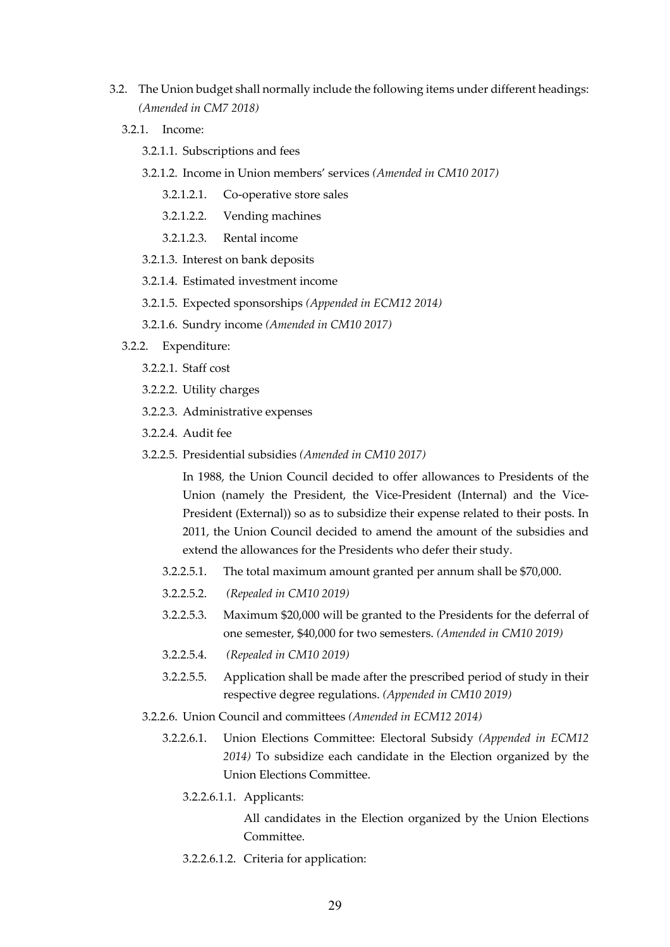- 3.2. The Union budget shall normally include the following items under different headings: *(Amended in CM7 2018)*
	- 3.2.1. Income:
		- 3.2.1.1. Subscriptions and fees
		- 3.2.1.2. Income in Union members' services *(Amended in CM10 2017)*
			- 3.2.1.2.1. Co-operative store sales
			- 3.2.1.2.2. Vending machines
			- 3.2.1.2.3. Rental income
		- 3.2.1.3. Interest on bank deposits
		- 3.2.1.4. Estimated investment income
		- 3.2.1.5. Expected sponsorships *(Appended in ECM12 2014)*
		- 3.2.1.6. Sundry income *(Amended in CM10 2017)*
	- 3.2.2. Expenditure:
		- 3.2.2.1. Staff cost
		- 3.2.2.2. Utility charges
		- 3.2.2.3. Administrative expenses
		- 3.2.2.4. Audit fee
		- 3.2.2.5. Presidential subsidies *(Amended in CM10 2017)*

In 1988, the Union Council decided to offer allowances to Presidents of the Union (namely the President, the Vice-President (Internal) and the Vice-President (External)) so as to subsidize their expense related to their posts. In 2011, the Union Council decided to amend the amount of the subsidies and extend the allowances for the Presidents who defer their study.

- 3.2.2.5.1. The total maximum amount granted per annum shall be \$70,000.
- 3.2.2.5.2. *(Repealed in CM10 2019)*
- 3.2.2.5.3. Maximum \$20,000 will be granted to the Presidents for the deferral of one semester, \$40,000 for two semesters. *(Amended in CM10 2019)*
- 3.2.2.5.4. *(Repealed in CM10 2019)*
- 3.2.2.5.5. Application shall be made after the prescribed period of study in their respective degree regulations. *(Appended in CM10 2019)*
- 3.2.2.6. Union Council and committees *(Amended in ECM12 2014)*
	- 3.2.2.6.1. Union Elections Committee: Electoral Subsidy *(Appended in ECM12 2014)* To subsidize each candidate in the Election organized by the Union Elections Committee.
		- 3.2.2.6.1.1. Applicants:

All candidates in the Election organized by the Union Elections Committee.

3.2.2.6.1.2. Criteria for application: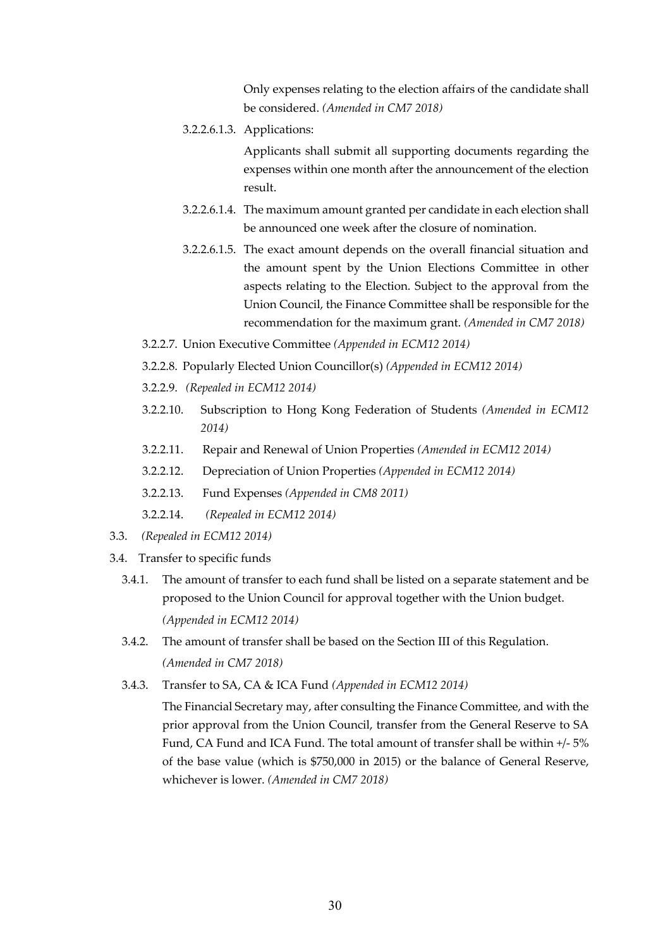Only expenses relating to the election affairs of the candidate shall be considered. *(Amended in CM7 2018)*

3.2.2.6.1.3. Applications:

Applicants shall submit all supporting documents regarding the expenses within one month after the announcement of the election result.

- 3.2.2.6.1.4. The maximum amount granted per candidate in each election shall be announced one week after the closure of nomination.
- 3.2.2.6.1.5. The exact amount depends on the overall financial situation and the amount spent by the Union Elections Committee in other aspects relating to the Election. Subject to the approval from the Union Council, the Finance Committee shall be responsible for the recommendation for the maximum grant. *(Amended in CM7 2018)*
- 3.2.2.7. Union Executive Committee *(Appended in ECM12 2014)*
- 3.2.2.8. Popularly Elected Union Councillor(s) *(Appended in ECM12 2014)*
- 3.2.2.9. *(Repealed in ECM12 2014)*
- 3.2.2.10. Subscription to Hong Kong Federation of Students *(Amended in ECM12 2014)*
- 3.2.2.11. Repair and Renewal of Union Properties *(Amended in ECM12 2014)*
- 3.2.2.12. Depreciation of Union Properties *(Appended in ECM12 2014)*
- 3.2.2.13. Fund Expenses *(Appended in CM8 2011)*
- 3.2.2.14. *(Repealed in ECM12 2014)*
- 3.3. *(Repealed in ECM12 2014)*
- 3.4. Transfer to specific funds
	- 3.4.1. The amount of transfer to each fund shall be listed on a separate statement and be proposed to the Union Council for approval together with the Union budget. *(Appended in ECM12 2014)*
	- 3.4.2. The amount of transfer shall be based on the Section III of this Regulation. *(Amended in CM7 2018)*
	- 3.4.3. Transfer to SA, CA & ICA Fund *(Appended in ECM12 2014)*

The Financial Secretary may, after consulting the Finance Committee, and with the prior approval from the Union Council, transfer from the General Reserve to SA Fund, CA Fund and ICA Fund. The total amount of transfer shall be within +/- 5% of the base value (which is \$750,000 in 2015) or the balance of General Reserve, whichever is lower. *(Amended in CM7 2018)*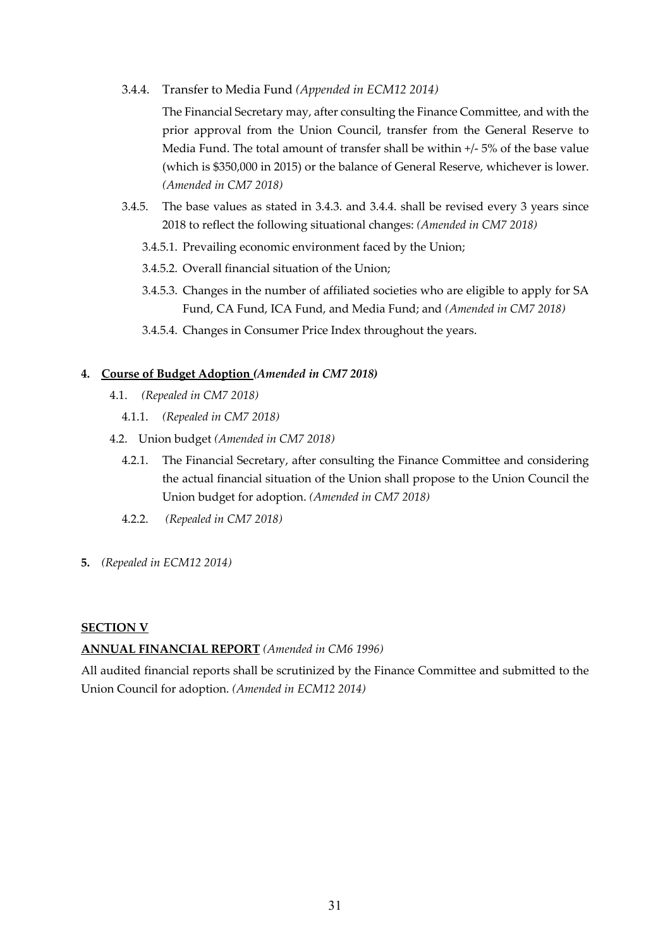3.4.4. Transfer to Media Fund *(Appended in ECM12 2014)*

The Financial Secretary may, after consulting the Finance Committee, and with the prior approval from the Union Council, transfer from the General Reserve to Media Fund. The total amount of transfer shall be within +/- 5% of the base value (which is \$350,000 in 2015) or the balance of General Reserve, whichever is lower. *(Amended in CM7 2018)*

- 3.4.5. The base values as stated in 3.4.3. and 3.4.4. shall be revised every 3 years since 2018 to reflect the following situational changes: *(Amended in CM7 2018)*
	- 3.4.5.1. Prevailing economic environment faced by the Union;
	- 3.4.5.2. Overall financial situation of the Union;
	- 3.4.5.3. Changes in the number of affiliated societies who are eligible to apply for SA Fund, CA Fund, ICA Fund, and Media Fund; and *(Amended in CM7 2018)*
	- 3.4.5.4. Changes in Consumer Price Index throughout the years.

### **4. Course of Budget Adoption** *(Amended in CM7 2018)*

- 4.1. *(Repealed in CM7 2018)*
	- 4.1.1. *(Repealed in CM7 2018)*
- 4.2. Union budget *(Amended in CM7 2018)*
	- 4.2.1. The Financial Secretary, after consulting the Finance Committee and considering the actual financial situation of the Union shall propose to the Union Council the Union budget for adoption. *(Amended in CM7 2018)*
	- 4.2.2. *(Repealed in CM7 2018)*
- **5.** *(Repealed in ECM12 2014)*

### **SECTION V**

**ANNUAL FINANCIAL REPORT** *(Amended in CM6 1996)*

All audited financial reports shall be scrutinized by the Finance Committee and submitted to the Union Council for adoption. *(Amended in ECM12 2014)*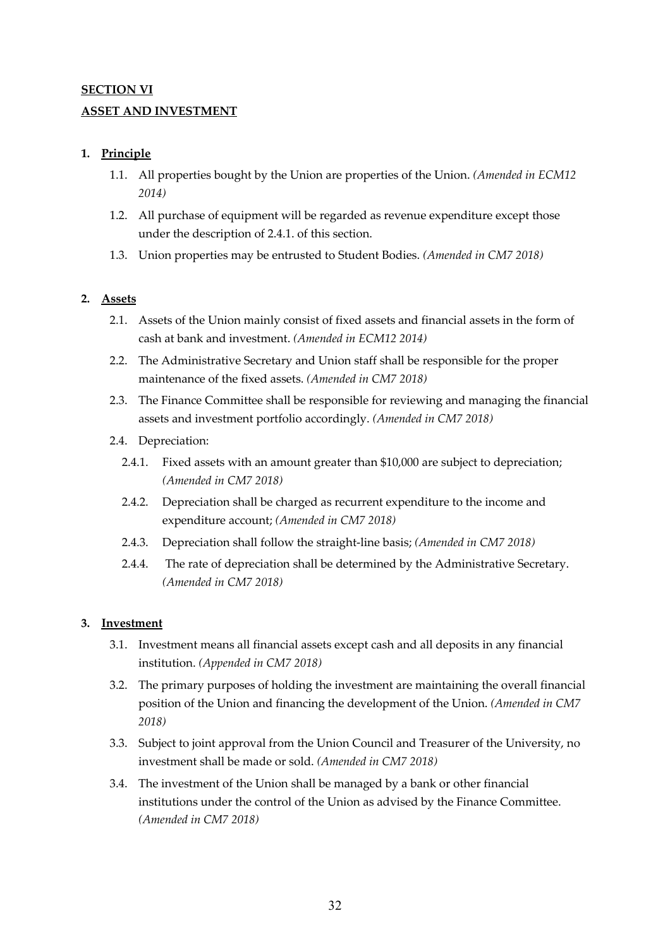# **SECTION VI ASSET AND INVESTMENT**

## **1. Principle**

- 1.1. All properties bought by the Union are properties of the Union. *(Amended in ECM12 2014)*
- 1.2. All purchase of equipment will be regarded as revenue expenditure except those under the description of 2.4.1. of this section.
- 1.3. Union properties may be entrusted to Student Bodies. *(Amended in CM7 2018)*

## **2. Assets**

- 2.1. Assets of the Union mainly consist of fixed assets and financial assets in the form of cash at bank and investment. *(Amended in ECM12 2014)*
- 2.2. The Administrative Secretary and Union staff shall be responsible for the proper maintenance of the fixed assets. *(Amended in CM7 2018)*
- 2.3. The Finance Committee shall be responsible for reviewing and managing the financial assets and investment portfolio accordingly. *(Amended in CM7 2018)*
- 2.4. Depreciation:
	- 2.4.1. Fixed assets with an amount greater than \$10,000 are subject to depreciation; *(Amended in CM7 2018)*
	- 2.4.2. Depreciation shall be charged as recurrent expenditure to the income and expenditure account; *(Amended in CM7 2018)*
	- 2.4.3. Depreciation shall follow the straight-line basis; *(Amended in CM7 2018)*
	- 2.4.4. The rate of depreciation shall be determined by the Administrative Secretary. *(Amended in CM7 2018)*

## **3. Investment**

- 3.1. Investment means all financial assets except cash and all deposits in any financial institution. *(Appended in CM7 2018)*
- 3.2. The primary purposes of holding the investment are maintaining the overall financial position of the Union and financing the development of the Union. *(Amended in CM7 2018)*
- 3.3. Subject to joint approval from the Union Council and Treasurer of the University, no investment shall be made or sold. *(Amended in CM7 2018)*
- 3.4. The investment of the Union shall be managed by a bank or other financial institutions under the control of the Union as advised by the Finance Committee. *(Amended in CM7 2018)*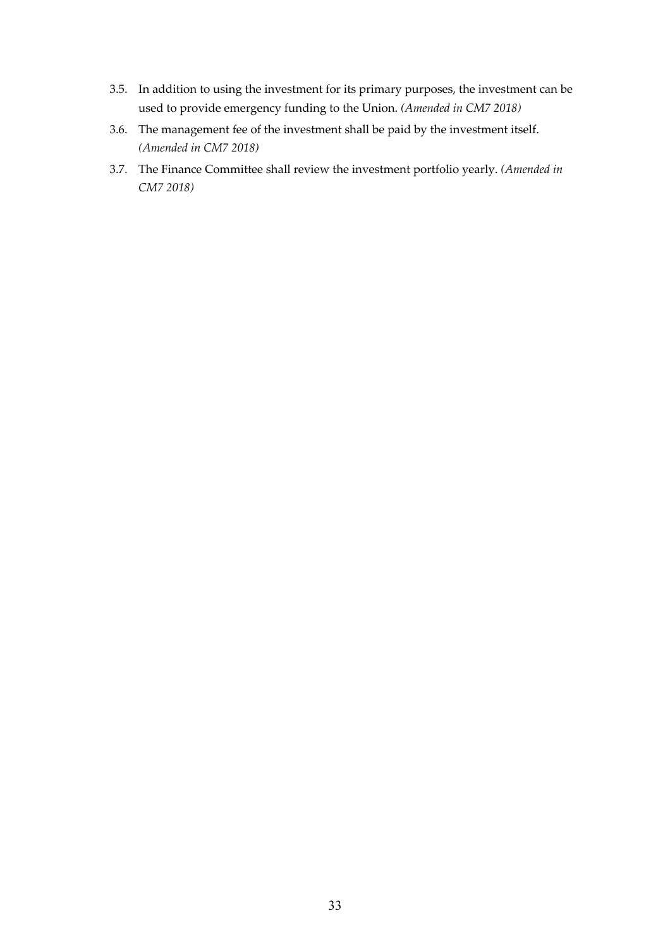- 3.5. In addition to using the investment for its primary purposes, the investment can be used to provide emergency funding to the Union. *(Amended in CM7 2018)*
- 3.6. The management fee of the investment shall be paid by the investment itself. *(Amended in CM7 2018)*
- 3.7. The Finance Committee shall review the investment portfolio yearly. *(Amended in CM7 2018)*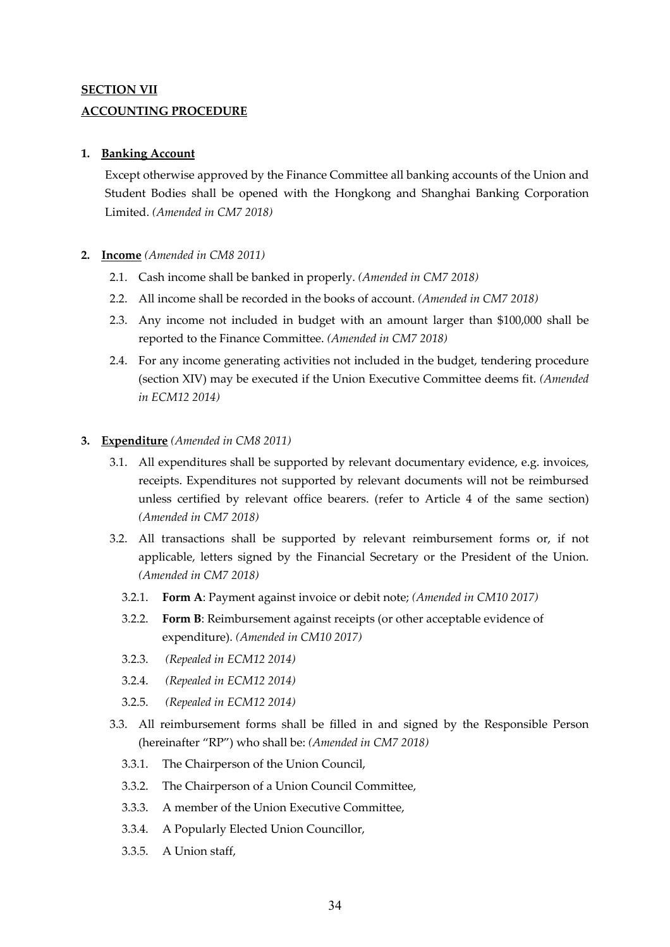## **SECTION VII ACCOUNTING PROCEDURE**

### **1. Banking Account**

Except otherwise approved by the Finance Committee all banking accounts of the Union and Student Bodies shall be opened with the Hongkong and Shanghai Banking Corporation Limited. *(Amended in CM7 2018)*

### **2. Income** *(Amended in CM8 2011)*

- 2.1. Cash income shall be banked in properly. *(Amended in CM7 2018)*
- 2.2. All income shall be recorded in the books of account. *(Amended in CM7 2018)*
- 2.3. Any income not included in budget with an amount larger than \$100,000 shall be reported to the Finance Committee. *(Amended in CM7 2018)*
- 2.4. For any income generating activities not included in the budget, tendering procedure (section XIV) may be executed if the Union Executive Committee deems fit. *(Amended in ECM12 2014)*

### **3. Expenditure** *(Amended in CM8 2011)*

- 3.1. All expenditures shall be supported by relevant documentary evidence, e.g. invoices, receipts. Expenditures not supported by relevant documents will not be reimbursed unless certified by relevant office bearers. (refer to Article 4 of the same section) *(Amended in CM7 2018)*
- 3.2. All transactions shall be supported by relevant reimbursement forms or, if not applicable, letters signed by the Financial Secretary or the President of the Union. *(Amended in CM7 2018)*
	- 3.2.1. **Form A**: Payment against invoice or debit note; *(Amended in CM10 2017)*
	- 3.2.2. **Form B**: Reimbursement against receipts (or other acceptable evidence of expenditure). *(Amended in CM10 2017)*
	- 3.2.3. *(Repealed in ECM12 2014)*
	- 3.2.4. *(Repealed in ECM12 2014)*
	- 3.2.5. *(Repealed in ECM12 2014)*
- 3.3. All reimbursement forms shall be filled in and signed by the Responsible Person (hereinafter "RP") who shall be: *(Amended in CM7 2018)*
	- 3.3.1. The Chairperson of the Union Council,
	- 3.3.2. The Chairperson of a Union Council Committee,
	- 3.3.3. A member of the Union Executive Committee,
	- 3.3.4. A Popularly Elected Union Councillor,
	- 3.3.5. A Union staff,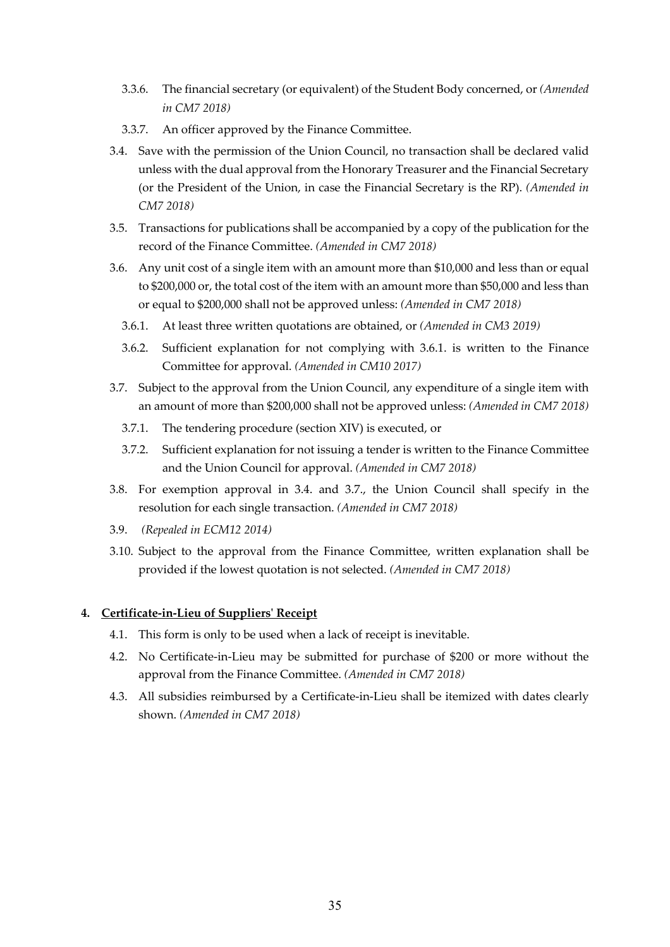- 3.3.6. The financial secretary (or equivalent) of the Student Body concerned, or *(Amended in CM7 2018)*
- 3.3.7. An officer approved by the Finance Committee.
- 3.4. Save with the permission of the Union Council, no transaction shall be declared valid unless with the dual approval from the Honorary Treasurer and the Financial Secretary (or the President of the Union, in case the Financial Secretary is the RP). *(Amended in CM7 2018)*
- 3.5. Transactions for publications shall be accompanied by a copy of the publication for the record of the Finance Committee. *(Amended in CM7 2018)*
- 3.6. Any unit cost of a single item with an amount more than \$10,000 and less than or equal to \$200,000 or, the total cost of the item with an amount more than \$50,000 and less than or equal to \$200,000 shall not be approved unless: *(Amended in CM7 2018)*
	- 3.6.1. At least three written quotations are obtained, or *(Amended in CM3 2019)*
	- 3.6.2. Sufficient explanation for not complying with 3.6.1. is written to the Finance Committee for approval. *(Amended in CM10 2017)*
- 3.7. Subject to the approval from the Union Council, any expenditure of a single item with an amount of more than \$200,000 shall not be approved unless: *(Amended in CM7 2018)*
	- 3.7.1. The tendering procedure (section XIV) is executed, or
	- 3.7.2. Sufficient explanation for not issuing a tender is written to the Finance Committee and the Union Council for approval. *(Amended in CM7 2018)*
- 3.8. For exemption approval in 3.4. and 3.7., the Union Council shall specify in the resolution for each single transaction. *(Amended in CM7 2018)*
- 3.9. *(Repealed in ECM12 2014)*
- 3.10. Subject to the approval from the Finance Committee, written explanation shall be provided if the lowest quotation is not selected. *(Amended in CM7 2018)*

### **4. Certificate-in-Lieu of Suppliers' Receipt**

- 4.1. This form is only to be used when a lack of receipt is inevitable.
- 4.2. No Certificate-in-Lieu may be submitted for purchase of \$200 or more without the approval from the Finance Committee. *(Amended in CM7 2018)*
- 4.3. All subsidies reimbursed by a Certificate-in-Lieu shall be itemized with dates clearly shown. *(Amended in CM7 2018)*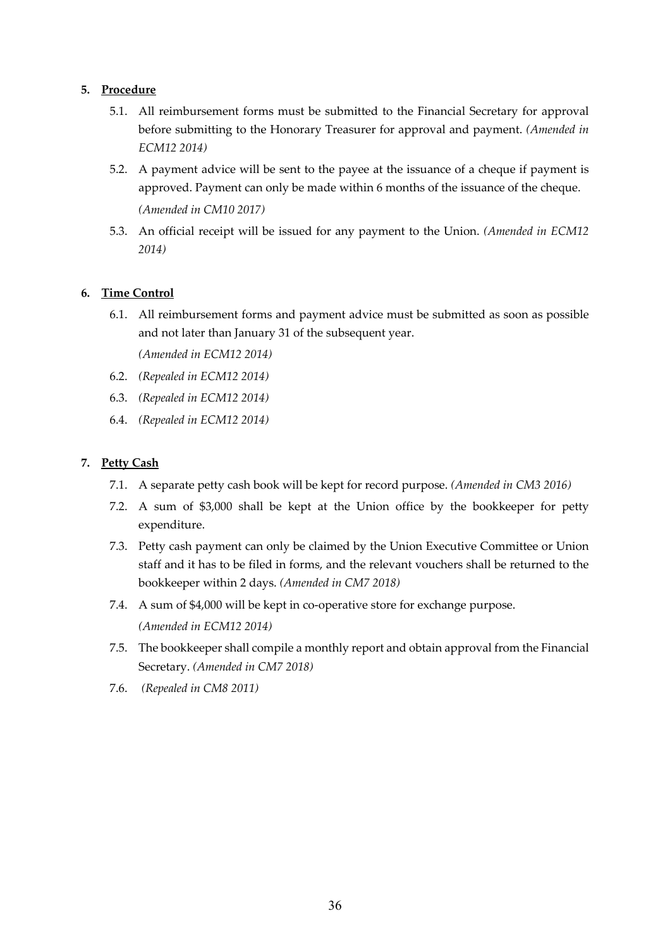### **5. Procedure**

- 5.1. All reimbursement forms must be submitted to the Financial Secretary for approval before submitting to the Honorary Treasurer for approval and payment. *(Amended in ECM12 2014)*
- 5.2. A payment advice will be sent to the payee at the issuance of a cheque if payment is approved. Payment can only be made within 6 months of the issuance of the cheque. *(Amended in CM10 2017)*
- 5.3. An official receipt will be issued for any payment to the Union. *(Amended in ECM12 2014)*

## **6. Time Control**

6.1. All reimbursement forms and payment advice must be submitted as soon as possible and not later than January 31 of the subsequent year.

*(Amended in ECM12 2014)*

- 6.2. *(Repealed in ECM12 2014)*
- 6.3. *(Repealed in ECM12 2014)*
- 6.4. *(Repealed in ECM12 2014)*

### **7. Petty Cash**

- 7.1. A separate petty cash book will be kept for record purpose. *(Amended in CM3 2016)*
- 7.2. A sum of \$3,000 shall be kept at the Union office by the bookkeeper for petty expenditure.
- 7.3. Petty cash payment can only be claimed by the Union Executive Committee or Union staff and it has to be filed in forms, and the relevant vouchers shall be returned to the bookkeeper within 2 days. *(Amended in CM7 2018)*
- 7.4. A sum of \$4,000 will be kept in co-operative store for exchange purpose. *(Amended in ECM12 2014)*
- 7.5. The bookkeeper shall compile a monthly report and obtain approval from the Financial Secretary. *(Amended in CM7 2018)*
- 7.6. *(Repealed in CM8 2011)*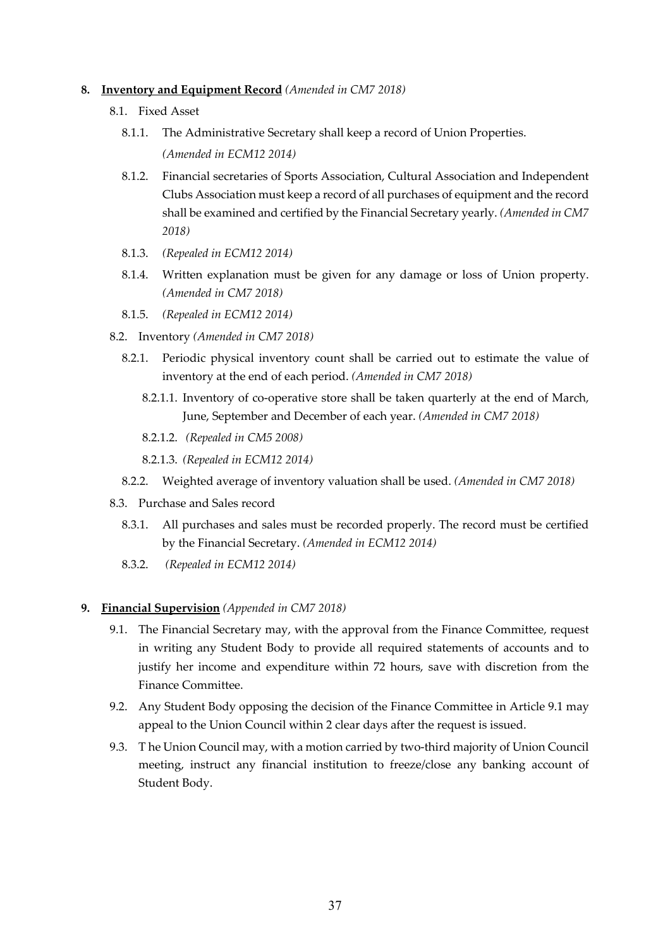#### **8. Inventory and Equipment Record** *(Amended in CM7 2018)*

- 8.1. Fixed Asset
	- 8.1.1. The Administrative Secretary shall keep a record of Union Properties.

*(Amended in ECM12 2014)*

- 8.1.2. Financial secretaries of Sports Association, Cultural Association and Independent Clubs Association must keep a record of all purchases of equipment and the record shall be examined and certified by the Financial Secretary yearly. *(Amended in CM7 2018)*
- 8.1.3. *(Repealed in ECM12 2014)*
- 8.1.4. Written explanation must be given for any damage or loss of Union property. *(Amended in CM7 2018)*
- 8.1.5. *(Repealed in ECM12 2014)*
- 8.2. Inventory *(Amended in CM7 2018)*
	- 8.2.1. Periodic physical inventory count shall be carried out to estimate the value of inventory at the end of each period. *(Amended in CM7 2018)*
		- 8.2.1.1. Inventory of co-operative store shall be taken quarterly at the end of March, June, September and December of each year. *(Amended in CM7 2018)*
		- 8.2.1.2. *(Repealed in CM5 2008)*
		- 8.2.1.3. *(Repealed in ECM12 2014)*
	- 8.2.2. Weighted average of inventory valuation shall be used. *(Amended in CM7 2018)*
- 8.3. Purchase and Sales record
	- 8.3.1. All purchases and sales must be recorded properly. The record must be certified by the Financial Secretary. *(Amended in ECM12 2014)*
	- 8.3.2. *(Repealed in ECM12 2014)*

### **9. Financial Supervision** *(Appended in CM7 2018)*

- 9.1. The Financial Secretary may, with the approval from the Finance Committee, request in writing any Student Body to provide all required statements of accounts and to justify her income and expenditure within 72 hours, save with discretion from the Finance Committee.
- 9.2. Any Student Body opposing the decision of the Finance Committee in Article 9.1 may appeal to the Union Council within 2 clear days after the request is issued.
- 9.3. T he Union Council may, with a motion carried by two-third majority of Union Council meeting, instruct any financial institution to freeze/close any banking account of Student Body.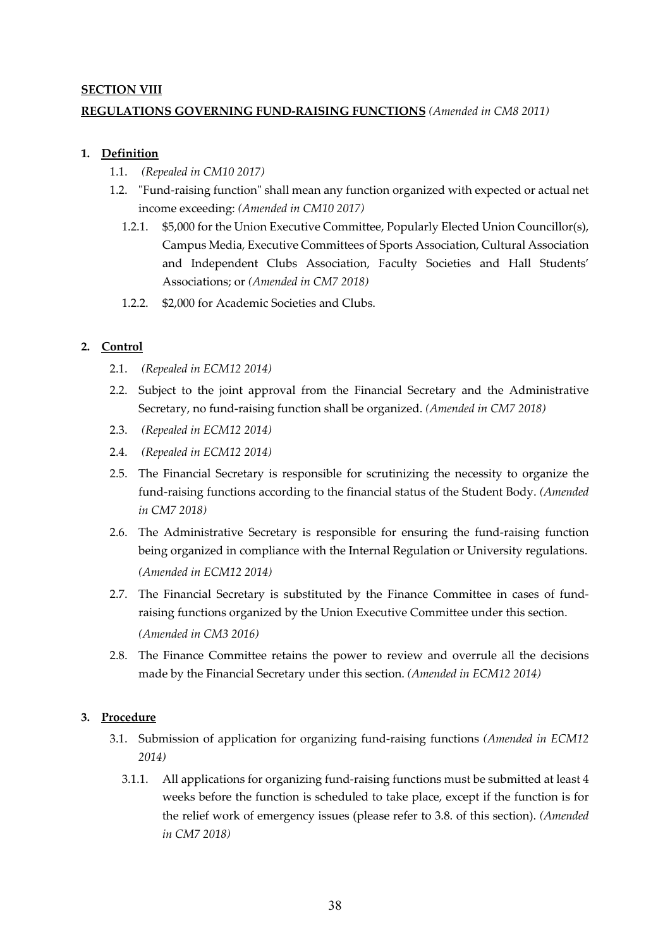### **SECTION VIII**

## **REGULATIONS GOVERNING FUND-RAISING FUNCTIONS** *(Amended in CM8 2011)*

### **1. Definition**

- 1.1. *(Repealed in CM10 2017)*
- 1.2. "Fund-raising function" shall mean any function organized with expected or actual net income exceeding: *(Amended in CM10 2017)*
	- 1.2.1. \$5,000 for the Union Executive Committee, Popularly Elected Union Councillor(s), Campus Media, Executive Committees of Sports Association, Cultural Association and Independent Clubs Association, Faculty Societies and Hall Students' Associations; or *(Amended in CM7 2018)*
	- 1.2.2. \$2,000 for Academic Societies and Clubs.

## **2. Control**

- 2.1. *(Repealed in ECM12 2014)*
- 2.2. Subject to the joint approval from the Financial Secretary and the Administrative Secretary, no fund-raising function shall be organized. *(Amended in CM7 2018)*
- 2.3. *(Repealed in ECM12 2014)*
- 2.4. *(Repealed in ECM12 2014)*
- 2.5. The Financial Secretary is responsible for scrutinizing the necessity to organize the fund-raising functions according to the financial status of the Student Body. *(Amended in CM7 2018)*
- 2.6. The Administrative Secretary is responsible for ensuring the fund-raising function being organized in compliance with the Internal Regulation or University regulations. *(Amended in ECM12 2014)*
- 2.7. The Financial Secretary is substituted by the Finance Committee in cases of fundraising functions organized by the Union Executive Committee under this section. *(Amended in CM3 2016)*
- 2.8. The Finance Committee retains the power to review and overrule all the decisions made by the Financial Secretary under this section. *(Amended in ECM12 2014)*

## **3. Procedure**

- 3.1. Submission of application for organizing fund-raising functions *(Amended in ECM12 2014)*
	- 3.1.1. All applications for organizing fund-raising functions must be submitted at least 4 weeks before the function is scheduled to take place, except if the function is for the relief work of emergency issues (please refer to 3.8. of this section). *(Amended in CM7 2018)*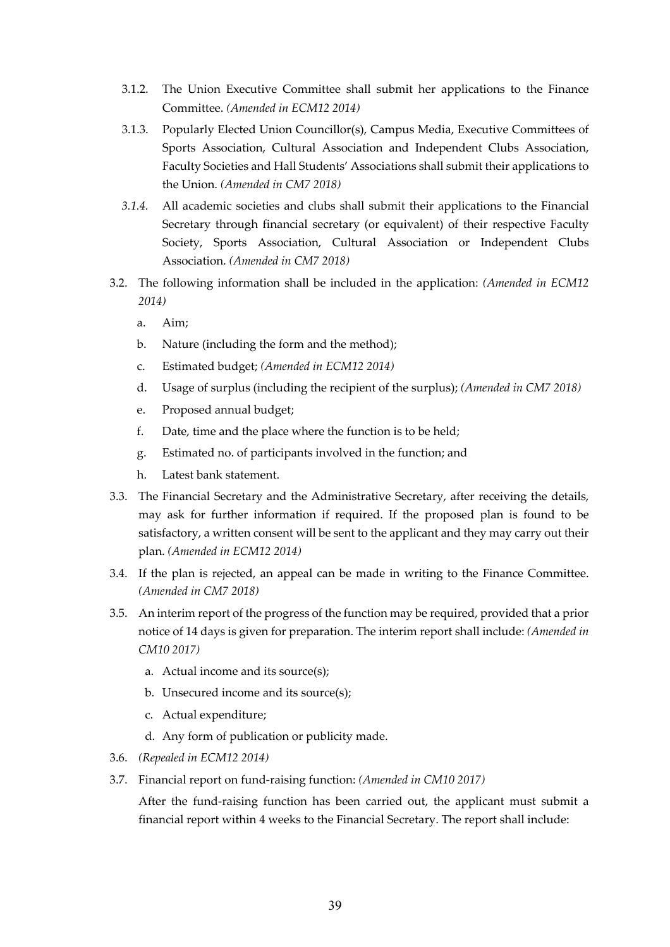- 3.1.2. The Union Executive Committee shall submit her applications to the Finance Committee. *(Amended in ECM12 2014)*
- 3.1.3. Popularly Elected Union Councillor(s), Campus Media, Executive Committees of Sports Association, Cultural Association and Independent Clubs Association, Faculty Societies and Hall Students' Associations shall submit their applications to the Union. *(Amended in CM7 2018)*
- *3.1.4.* All academic societies and clubs shall submit their applications to the Financial Secretary through financial secretary (or equivalent) of their respective Faculty Society, Sports Association, Cultural Association or Independent Clubs Association. *(Amended in CM7 2018)*
- 3.2. The following information shall be included in the application: *(Amended in ECM12 2014)*
	- a. Aim;
	- b. Nature (including the form and the method);
	- c. Estimated budget; *(Amended in ECM12 2014)*
	- d. Usage of surplus (including the recipient of the surplus); *(Amended in CM7 2018)*
	- e. Proposed annual budget;
	- f. Date, time and the place where the function is to be held;
	- g. Estimated no. of participants involved in the function; and
	- h. Latest bank statement.
- 3.3. The Financial Secretary and the Administrative Secretary, after receiving the details, may ask for further information if required. If the proposed plan is found to be satisfactory, a written consent will be sent to the applicant and they may carry out their plan. *(Amended in ECM12 2014)*
- 3.4. If the plan is rejected, an appeal can be made in writing to the Finance Committee. *(Amended in CM7 2018)*
- 3.5. An interim report of the progress of the function may be required, provided that a prior notice of 14 days is given for preparation. The interim report shall include: *(Amended in CM10 2017)*
	- a. Actual income and its source(s);
	- b. Unsecured income and its source(s);
	- c. Actual expenditure;
	- d. Any form of publication or publicity made.
- 3.6. *(Repealed in ECM12 2014)*
- 3.7. Financial report on fund-raising function: *(Amended in CM10 2017)*

After the fund-raising function has been carried out, the applicant must submit a financial report within 4 weeks to the Financial Secretary. The report shall include: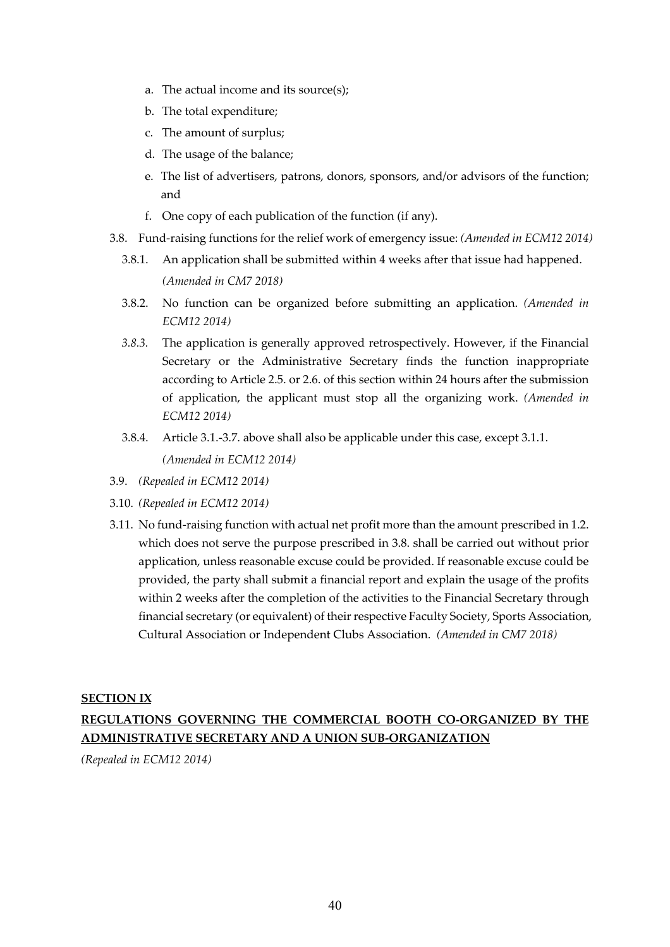- a. The actual income and its source(s);
- b. The total expenditure;
- c. The amount of surplus;
- d. The usage of the balance;
- e. The list of advertisers, patrons, donors, sponsors, and/or advisors of the function; and
- f. One copy of each publication of the function (if any).
- 3.8. Fund-raising functions for the relief work of emergency issue: *(Amended in ECM12 2014)*
	- 3.8.1. An application shall be submitted within 4 weeks after that issue had happened. *(Amended in CM7 2018)*
	- 3.8.2. No function can be organized before submitting an application. *(Amended in ECM12 2014)*
	- *3.8.3.* The application is generally approved retrospectively. However, if the Financial Secretary or the Administrative Secretary finds the function inappropriate according to Article 2.5. or 2.6. of this section within 24 hours after the submission of application, the applicant must stop all the organizing work. *(Amended in ECM12 2014)*
	- 3.8.4. Article 3.1.-3.7. above shall also be applicable under this case, except 3.1.1. *(Amended in ECM12 2014)*
- 3.9. *(Repealed in ECM12 2014)*
- 3.10. *(Repealed in ECM12 2014)*
- 3.11. No fund-raising function with actual net profit more than the amount prescribed in 1.2. which does not serve the purpose prescribed in 3.8. shall be carried out without prior application, unless reasonable excuse could be provided. If reasonable excuse could be provided, the party shall submit a financial report and explain the usage of the profits within 2 weeks after the completion of the activities to the Financial Secretary through financial secretary (or equivalent) of their respective Faculty Society, Sports Association, Cultural Association or Independent Clubs Association. *(Amended in CM7 2018)*

### **SECTION IX**

## **REGULATIONS GOVERNING THE COMMERCIAL BOOTH CO-ORGANIZED BY THE ADMINISTRATIVE SECRETARY AND A UNION SUB-ORGANIZATION**

*(Repealed in ECM12 2014)*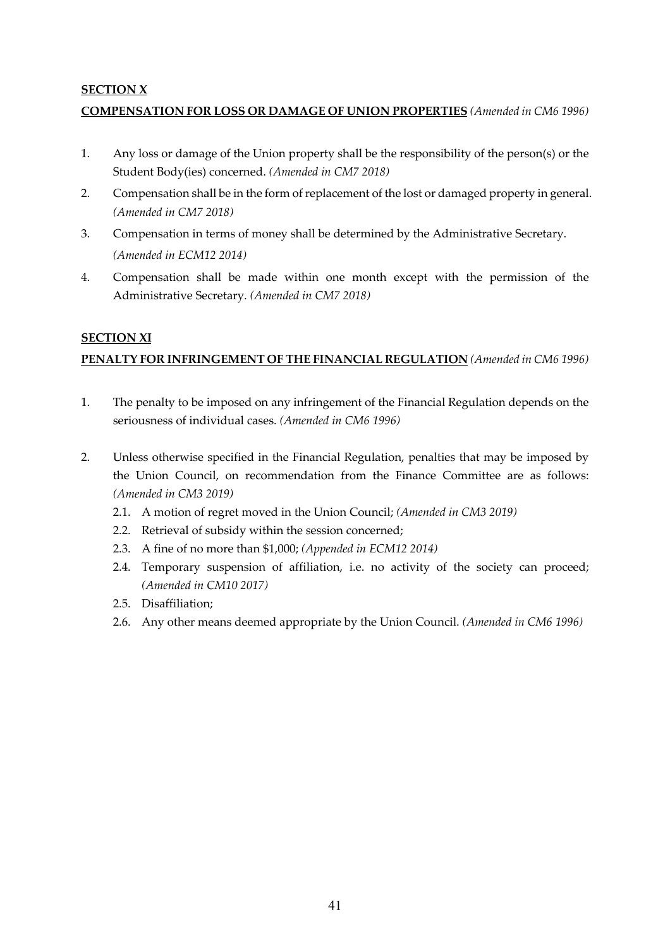## **SECTION X**

## **COMPENSATION FOR LOSS OR DAMAGE OF UNION PROPERTIES** *(Amended in CM6 1996)*

- 1. Any loss or damage of the Union property shall be the responsibility of the person(s) or the Student Body(ies) concerned. *(Amended in CM7 2018)*
- 2. Compensation shall be in the form of replacement of the lost or damaged property in general. *(Amended in CM7 2018)*
- 3. Compensation in terms of money shall be determined by the Administrative Secretary. *(Amended in ECM12 2014)*
- 4. Compensation shall be made within one month except with the permission of the Administrative Secretary. *(Amended in CM7 2018)*

### **SECTION XI**

## **PENALTY FOR INFRINGEMENT OF THE FINANCIAL REGULATION** *(Amended in CM6 1996)*

- 1. The penalty to be imposed on any infringement of the Financial Regulation depends on the seriousness of individual cases. *(Amended in CM6 1996)*
- 2. Unless otherwise specified in the Financial Regulation, penalties that may be imposed by the Union Council, on recommendation from the Finance Committee are as follows: *(Amended in CM3 2019)*
	- 2.1. A motion of regret moved in the Union Council; *(Amended in CM3 2019)*
	- 2.2. Retrieval of subsidy within the session concerned;
	- 2.3. A fine of no more than \$1,000; *(Appended in ECM12 2014)*
	- 2.4. Temporary suspension of affiliation, i.e. no activity of the society can proceed; *(Amended in CM10 2017)*
	- 2.5. Disaffiliation;
	- 2.6. Any other means deemed appropriate by the Union Council. *(Amended in CM6 1996)*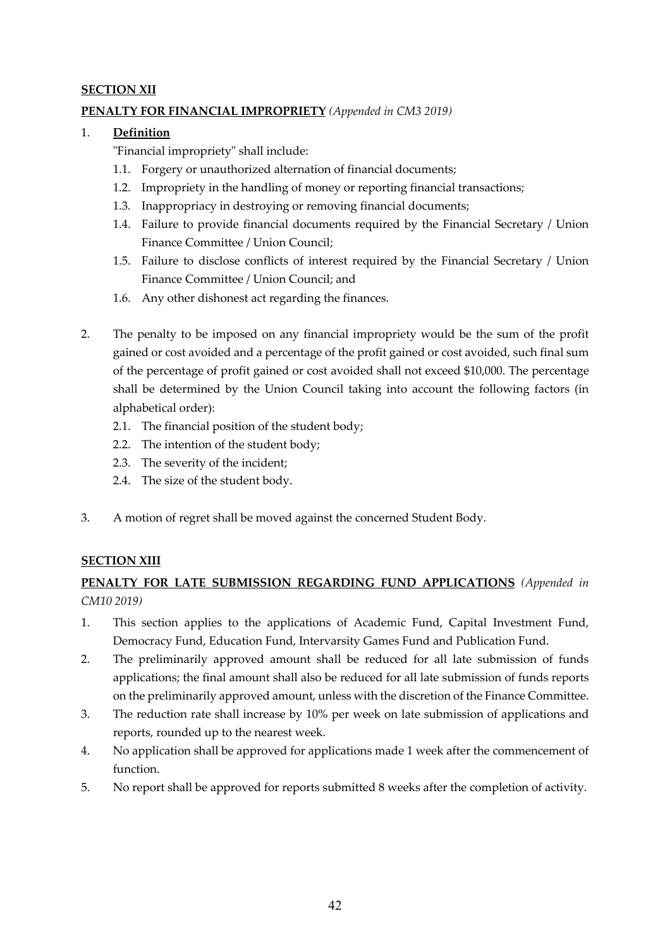## **SECTION XII**

## **PENALTY FOR FINANCIAL IMPROPRIETY** *(Appended in CM3 2019)*

### 1. **Definition**

"Financial impropriety" shall include:

- 1.1. Forgery or unauthorized alternation of financial documents;
- 1.2. Impropriety in the handling of money or reporting financial transactions;
- 1.3. Inappropriacy in destroying or removing financial documents;
- 1.4. Failure to provide financial documents required by the Financial Secretary / Union Finance Committee / Union Council;
- 1.5. Failure to disclose conflicts of interest required by the Financial Secretary / Union Finance Committee / Union Council; and
- 1.6. Any other dishonest act regarding the finances.
- 2. The penalty to be imposed on any financial impropriety would be the sum of the profit gained or cost avoided and a percentage of the profit gained or cost avoided, such final sum of the percentage of profit gained or cost avoided shall not exceed \$10,000. The percentage shall be determined by the Union Council taking into account the following factors (in alphabetical order):
	- 2.1. The financial position of the student body;
	- 2.2. The intention of the student body;
	- 2.3. The severity of the incident;
	- 2.4. The size of the student body.
- 3. A motion of regret shall be moved against the concerned Student Body.

## **SECTION XIII**

## **PENALTY FOR LATE SUBMISSION REGARDING FUND APPLICATIONS** *(Appended in CM10 2019)*

- 1. This section applies to the applications of Academic Fund, Capital Investment Fund, Democracy Fund, Education Fund, Intervarsity Games Fund and Publication Fund.
- 2. The preliminarily approved amount shall be reduced for all late submission of funds applications; the final amount shall also be reduced for all late submission of funds reports on the preliminarily approved amount, unless with the discretion of the Finance Committee.
- 3. The reduction rate shall increase by 10% per week on late submission of applications and reports, rounded up to the nearest week.
- 4. No application shall be approved for applications made 1 week after the commencement of function.
- 5. No report shall be approved for reports submitted 8 weeks after the completion of activity.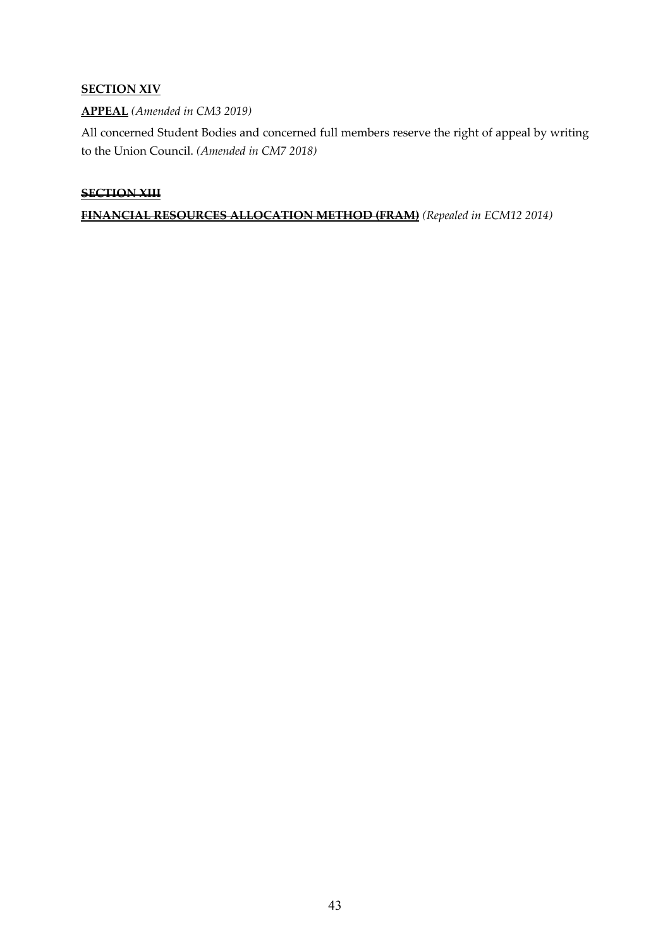## **SECTION XIV**

## **APPEAL** *(Amended in CM3 2019)*

All concerned Student Bodies and concerned full members reserve the right of appeal by writing to the Union Council. *(Amended in CM7 2018)*

### **SECTION XIII**

**FINANCIAL RESOURCES ALLOCATION METHOD (FRAM)** *(Repealed in ECM12 2014)*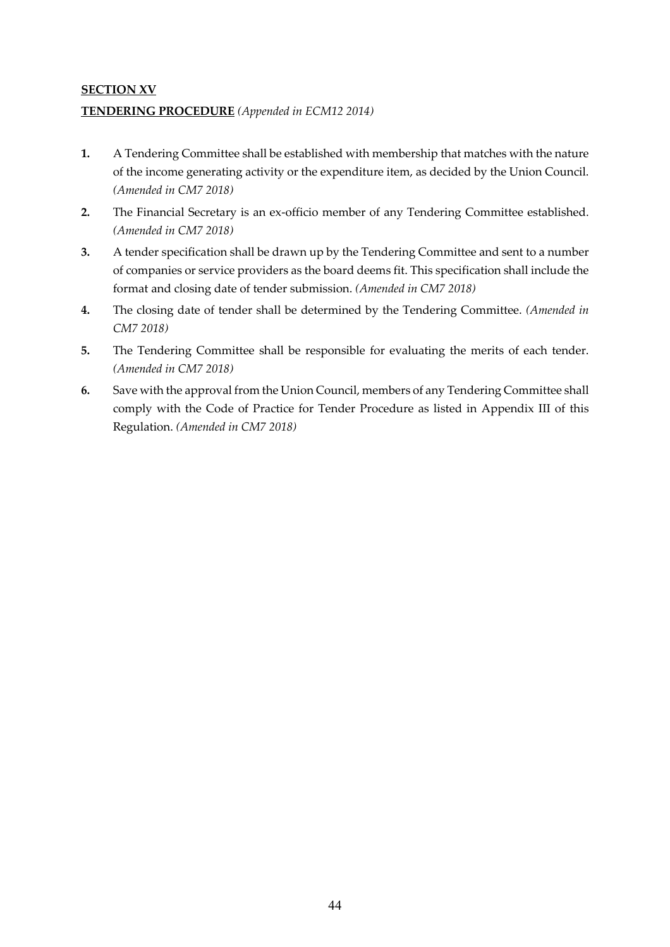# **SECTION XV TENDERING PROCEDURE** *(Appended in ECM12 2014)*

- **1.** A Tendering Committee shall be established with membership that matches with the nature of the income generating activity or the expenditure item, as decided by the Union Council. *(Amended in CM7 2018)*
- **2.** The Financial Secretary is an ex-officio member of any Tendering Committee established. *(Amended in CM7 2018)*
- **3.** A tender specification shall be drawn up by the Tendering Committee and sent to a number of companies or service providers as the board deems fit. This specification shall include the format and closing date of tender submission. *(Amended in CM7 2018)*
- **4.** The closing date of tender shall be determined by the Tendering Committee. *(Amended in CM7 2018)*
- **5.** The Tendering Committee shall be responsible for evaluating the merits of each tender. *(Amended in CM7 2018)*
- **6.** Save with the approval from the Union Council, members of any Tendering Committee shall comply with the Code of Practice for Tender Procedure as listed in Appendix III of this Regulation. *(Amended in CM7 2018)*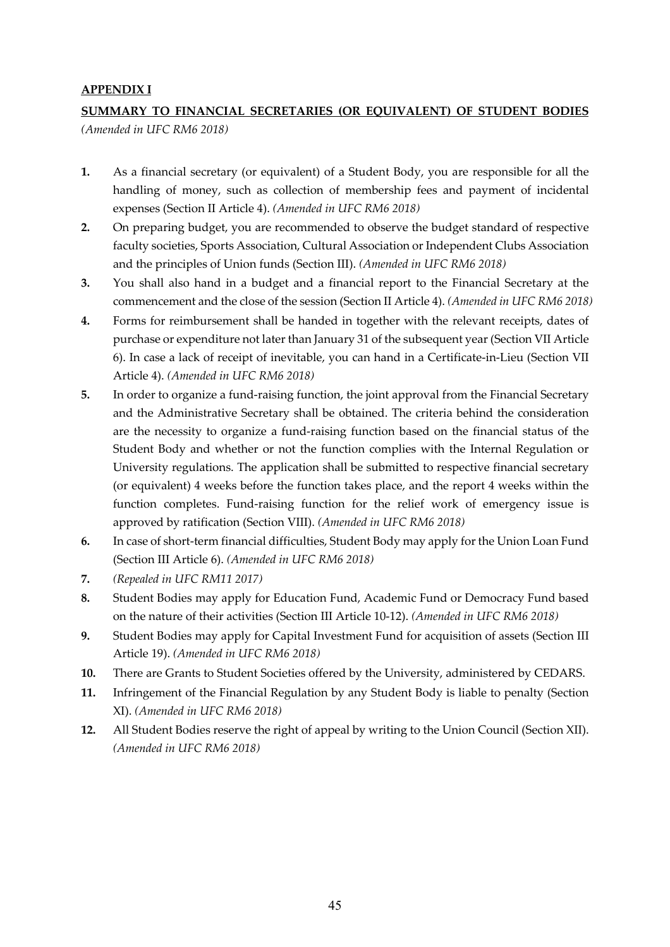### **APPENDIX I**

## **SUMMARY TO FINANCIAL SECRETARIES (OR EQUIVALENT) OF STUDENT BODIES**  *(Amended in UFC RM6 2018)*

- **1.** As a financial secretary (or equivalent) of a Student Body, you are responsible for all the handling of money, such as collection of membership fees and payment of incidental expenses (Section II Article 4). *(Amended in UFC RM6 2018)*
- **2.** On preparing budget, you are recommended to observe the budget standard of respective faculty societies, Sports Association, Cultural Association or Independent Clubs Association and the principles of Union funds (Section III). *(Amended in UFC RM6 2018)*
- **3.** You shall also hand in a budget and a financial report to the Financial Secretary at the commencement and the close of the session (Section II Article 4). *(Amended in UFC RM6 2018)*
- **4.** Forms for reimbursement shall be handed in together with the relevant receipts, dates of purchase or expenditure not later than January 31 of the subsequent year (Section VII Article 6). In case a lack of receipt of inevitable, you can hand in a Certificate-in-Lieu (Section VII Article 4). *(Amended in UFC RM6 2018)*
- **5.** In order to organize a fund-raising function, the joint approval from the Financial Secretary and the Administrative Secretary shall be obtained. The criteria behind the consideration are the necessity to organize a fund-raising function based on the financial status of the Student Body and whether or not the function complies with the Internal Regulation or University regulations. The application shall be submitted to respective financial secretary (or equivalent) 4 weeks before the function takes place, and the report 4 weeks within the function completes. Fund-raising function for the relief work of emergency issue is approved by ratification (Section VIII). *(Amended in UFC RM6 2018)*
- **6.** In case of short-term financial difficulties, Student Body may apply for the Union Loan Fund (Section III Article 6). *(Amended in UFC RM6 2018)*
- **7.** *(Repealed in UFC RM11 2017)*
- **8.** Student Bodies may apply for Education Fund, Academic Fund or Democracy Fund based on the nature of their activities (Section III Article 10-12). *(Amended in UFC RM6 2018)*
- **9.** Student Bodies may apply for Capital Investment Fund for acquisition of assets (Section III Article 19). *(Amended in UFC RM6 2018)*
- **10.** There are Grants to Student Societies offered by the University, administered by CEDARS.
- **11.** Infringement of the Financial Regulation by any Student Body is liable to penalty (Section XI). *(Amended in UFC RM6 2018)*
- **12.** All Student Bodies reserve the right of appeal by writing to the Union Council (Section XII). *(Amended in UFC RM6 2018)*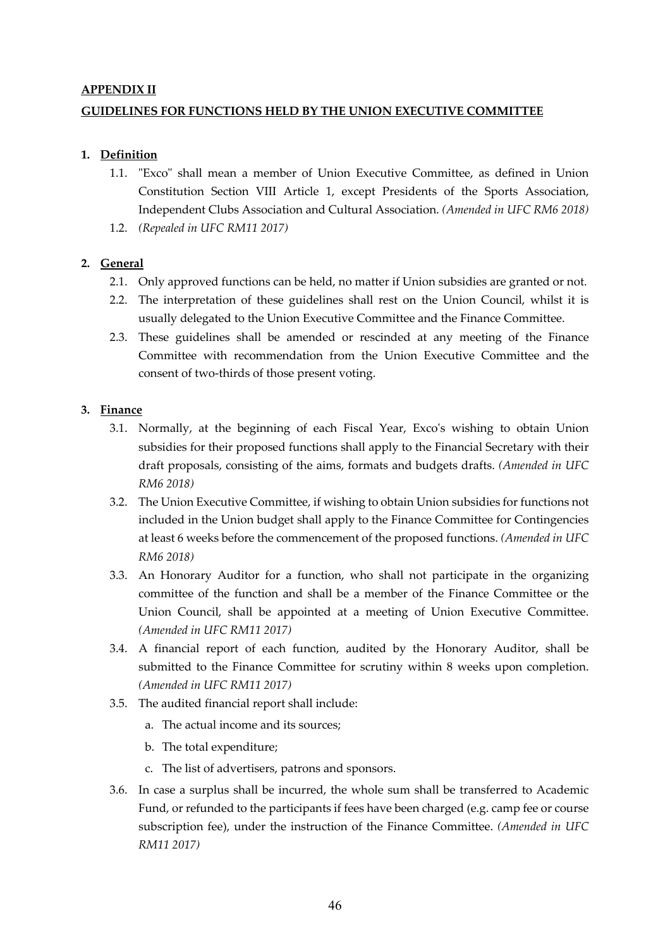### **APPENDIX II**

## **GUIDELINES FOR FUNCTIONS HELD BY THE UNION EXECUTIVE COMMITTEE**

## **1. Definition**

- 1.1. "Exco" shall mean a member of Union Executive Committee, as defined in Union Constitution Section VIII Article 1, except Presidents of the Sports Association, Independent Clubs Association and Cultural Association. *(Amended in UFC RM6 2018)*
- 1.2. *(Repealed in UFC RM11 2017)*

## **2. General**

- 2.1. Only approved functions can be held, no matter if Union subsidies are granted or not.
- 2.2. The interpretation of these guidelines shall rest on the Union Council, whilst it is usually delegated to the Union Executive Committee and the Finance Committee.
- 2.3. These guidelines shall be amended or rescinded at any meeting of the Finance Committee with recommendation from the Union Executive Committee and the consent of two-thirds of those present voting.

### **3. Finance**

- 3.1. Normally, at the beginning of each Fiscal Year, Exco's wishing to obtain Union subsidies for their proposed functions shall apply to the Financial Secretary with their draft proposals, consisting of the aims, formats and budgets drafts. *(Amended in UFC RM6 2018)*
- 3.2. The Union Executive Committee, if wishing to obtain Union subsidies for functions not included in the Union budget shall apply to the Finance Committee for Contingencies at least 6 weeks before the commencement of the proposed functions. *(Amended in UFC RM6 2018)*
- 3.3. An Honorary Auditor for a function, who shall not participate in the organizing committee of the function and shall be a member of the Finance Committee or the Union Council, shall be appointed at a meeting of Union Executive Committee. *(Amended in UFC RM11 2017)*
- 3.4. A financial report of each function, audited by the Honorary Auditor, shall be submitted to the Finance Committee for scrutiny within 8 weeks upon completion. *(Amended in UFC RM11 2017)*
- 3.5. The audited financial report shall include:
	- a. The actual income and its sources;
	- b. The total expenditure;
	- c. The list of advertisers, patrons and sponsors.
- 3.6. In case a surplus shall be incurred, the whole sum shall be transferred to Academic Fund, or refunded to the participants if fees have been charged (e.g. camp fee or course subscription fee), under the instruction of the Finance Committee. *(Amended in UFC RM11 2017)*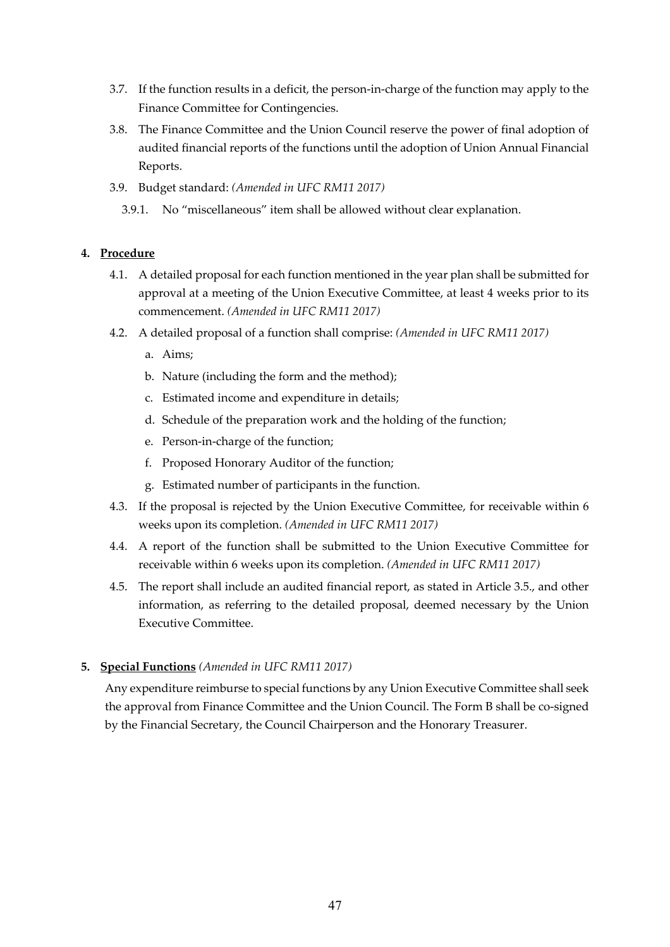- 3.7. If the function results in a deficit, the person-in-charge of the function may apply to the Finance Committee for Contingencies.
- 3.8. The Finance Committee and the Union Council reserve the power of final adoption of audited financial reports of the functions until the adoption of Union Annual Financial Reports.
- 3.9. Budget standard: *(Amended in UFC RM11 2017)*
	- 3.9.1. No "miscellaneous" item shall be allowed without clear explanation.

### **4. Procedure**

- 4.1. A detailed proposal for each function mentioned in the year plan shall be submitted for approval at a meeting of the Union Executive Committee, at least 4 weeks prior to its commencement. *(Amended in UFC RM11 2017)*
- 4.2. A detailed proposal of a function shall comprise: *(Amended in UFC RM11 2017)*
	- a. Aims;
	- b. Nature (including the form and the method);
	- c. Estimated income and expenditure in details;
	- d. Schedule of the preparation work and the holding of the function;
	- e. Person-in-charge of the function;
	- f. Proposed Honorary Auditor of the function;
	- g. Estimated number of participants in the function.
- 4.3. If the proposal is rejected by the Union Executive Committee, for receivable within 6 weeks upon its completion. *(Amended in UFC RM11 2017)*
- 4.4. A report of the function shall be submitted to the Union Executive Committee for receivable within 6 weeks upon its completion. *(Amended in UFC RM11 2017)*
- 4.5. The report shall include an audited financial report, as stated in Article 3.5., and other information, as referring to the detailed proposal, deemed necessary by the Union Executive Committee.

### **5. Special Functions** *(Amended in UFC RM11 2017)*

Any expenditure reimburse to special functions by any Union Executive Committee shall seek the approval from Finance Committee and the Union Council. The Form B shall be co-signed by the Financial Secretary, the Council Chairperson and the Honorary Treasurer.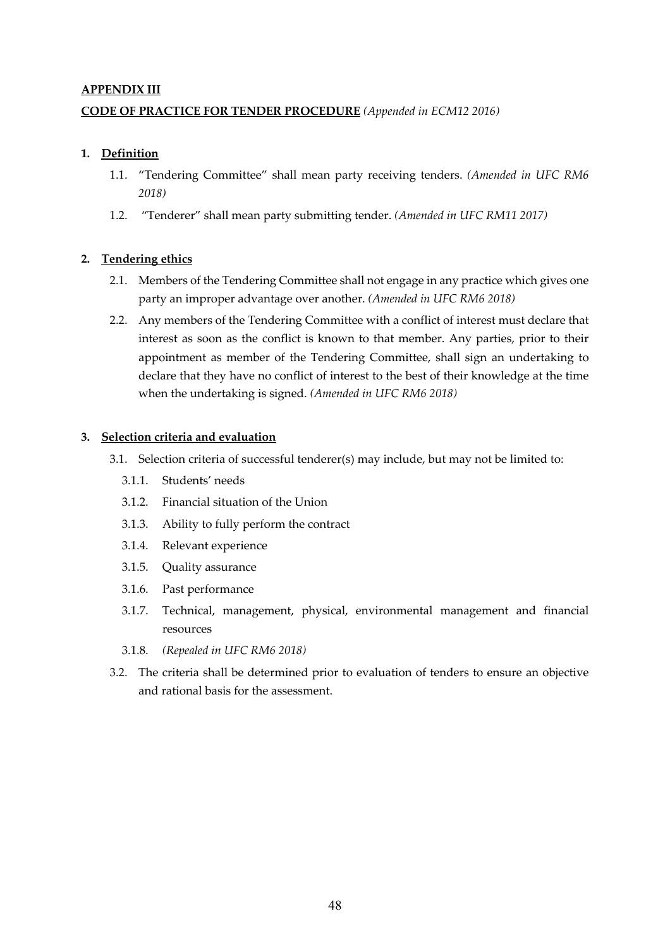### **APPENDIX III**

## **CODE OF PRACTICE FOR TENDER PROCEDURE** *(Appended in ECM12 2016)*

### **1. Definition**

- 1.1. "Tendering Committee" shall mean party receiving tenders. *(Amended in UFC RM6 2018)*
- 1.2. "Tenderer" shall mean party submitting tender. *(Amended in UFC RM11 2017)*

### **2. Tendering ethics**

- 2.1. Members of the Tendering Committee shall not engage in any practice which gives one party an improper advantage over another. *(Amended in UFC RM6 2018)*
- 2.2. Any members of the Tendering Committee with a conflict of interest must declare that interest as soon as the conflict is known to that member. Any parties, prior to their appointment as member of the Tendering Committee, shall sign an undertaking to declare that they have no conflict of interest to the best of their knowledge at the time when the undertaking is signed. *(Amended in UFC RM6 2018)*

### **3. Selection criteria and evaluation**

- 3.1. Selection criteria of successful tenderer(s) may include, but may not be limited to:
	- 3.1.1. Students' needs
	- 3.1.2. Financial situation of the Union
	- 3.1.3. Ability to fully perform the contract
	- 3.1.4. Relevant experience
	- 3.1.5. Quality assurance
	- 3.1.6. Past performance
	- 3.1.7. Technical, management, physical, environmental management and financial resources
	- 3.1.8. *(Repealed in UFC RM6 2018)*
- 3.2. The criteria shall be determined prior to evaluation of tenders to ensure an objective and rational basis for the assessment.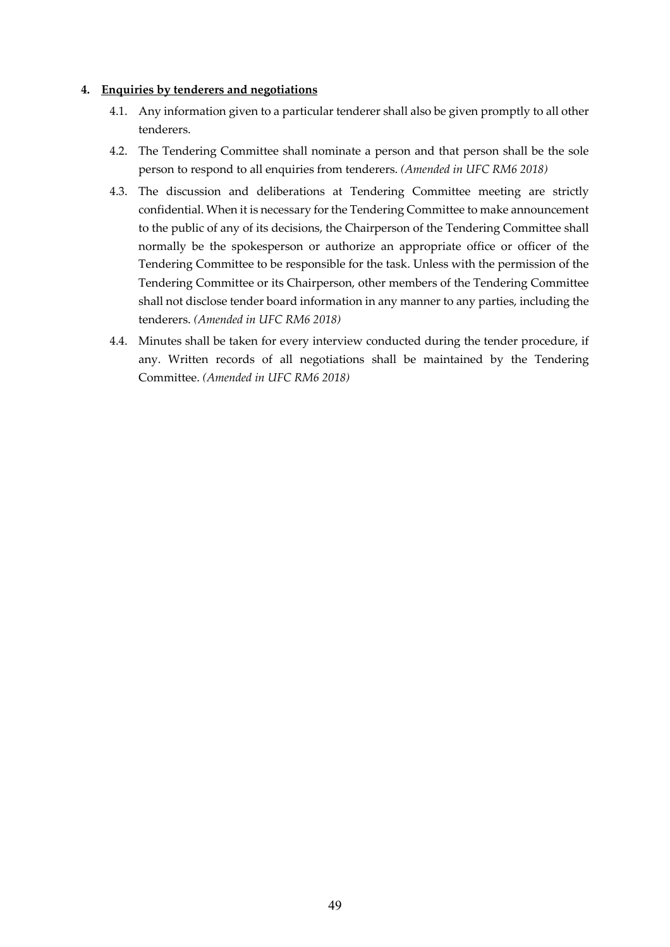### **4. Enquiries by tenderers and negotiations**

- 4.1. Any information given to a particular tenderer shall also be given promptly to all other tenderers.
- 4.2. The Tendering Committee shall nominate a person and that person shall be the sole person to respond to all enquiries from tenderers. *(Amended in UFC RM6 2018)*
- 4.3. The discussion and deliberations at Tendering Committee meeting are strictly confidential. When it is necessary for the Tendering Committee to make announcement to the public of any of its decisions, the Chairperson of the Tendering Committee shall normally be the spokesperson or authorize an appropriate office or officer of the Tendering Committee to be responsible for the task. Unless with the permission of the Tendering Committee or its Chairperson, other members of the Tendering Committee shall not disclose tender board information in any manner to any parties, including the tenderers. *(Amended in UFC RM6 2018)*
- 4.4. Minutes shall be taken for every interview conducted during the tender procedure, if any. Written records of all negotiations shall be maintained by the Tendering Committee. *(Amended in UFC RM6 2018)*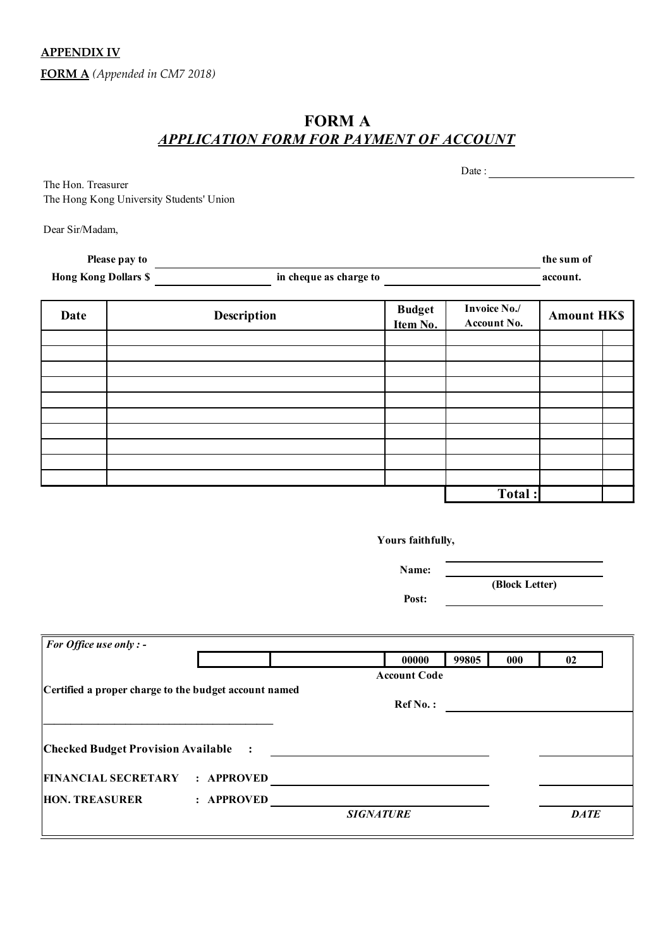**APPENDIX IV**

**FORM A** *(Appended in CM7 2018)*

# **FORM A** *APPLICATION FORM FOR PAYMENT OF ACCOUNT*

|                                                                |                                                       |                            | Date: $\qquad \qquad$       |                   |  |
|----------------------------------------------------------------|-------------------------------------------------------|----------------------------|-----------------------------|-------------------|--|
| The Hon. Treasurer<br>The Hong Kong University Students' Union |                                                       |                            |                             |                   |  |
| Dear Sir/Madam,                                                |                                                       |                            |                             |                   |  |
| Please pay to                                                  |                                                       |                            |                             | the sum of        |  |
| <b>Hong Kong Dollars \$</b>                                    |                                                       | in cheque as charge to     |                             | account.          |  |
| <b>Date</b>                                                    | Description                                           | <b>Budget</b><br>Item No.  | Invoice No./<br>Account No. | <b>Amount HKS</b> |  |
|                                                                |                                                       |                            |                             |                   |  |
|                                                                |                                                       |                            |                             |                   |  |
|                                                                |                                                       |                            |                             |                   |  |
|                                                                |                                                       |                            |                             |                   |  |
|                                                                |                                                       |                            |                             |                   |  |
|                                                                |                                                       |                            | Total:                      |                   |  |
|                                                                |                                                       | Yours faithfully,<br>Name: |                             |                   |  |
|                                                                |                                                       | Post:                      | (Block Letter)              |                   |  |
|                                                                |                                                       |                            |                             |                   |  |
| For Office use only : -                                        |                                                       | 00000                      | 99805<br>000                | 02                |  |
|                                                                | Certified a proper charge to the budget account named | <b>Account Code</b>        | Ref No.:                    |                   |  |
| <u> 1980 - Johann Barn, fransk politik (d. 1980)</u>           |                                                       |                            |                             |                   |  |
|                                                                |                                                       |                            |                             |                   |  |
|                                                                | HON. TREASURER : APPROVED SIGNATURE                   |                            |                             |                   |  |
|                                                                |                                                       |                            |                             | <b>DATE</b>       |  |